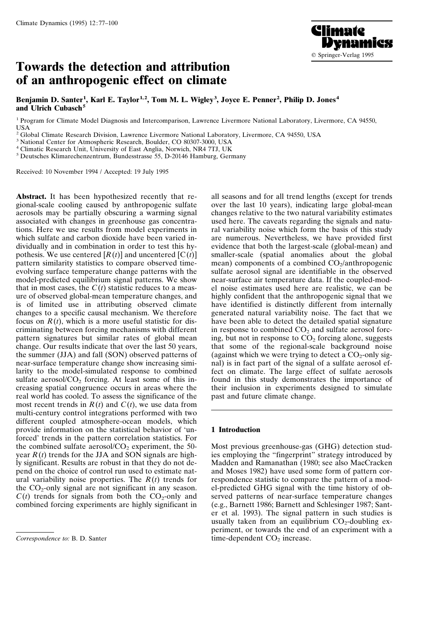# **Towards the detection and attribution of an anthropogenic effect on climate**

**Benjamin D. Santer<sup>1</sup> , Karl E. Taylor1,2, Tom M. L. Wigley3 , Joyce E. Penner<sup>2</sup> , Philip D. Jones<sup>4</sup> and Ulrich Cubasch<sup>5</sup>**

<sup>1</sup> Program for Climate Model Diagnosis and Intercomparison, Lawrence Livermore National Laboratory, Livermore, CA 94550, USA

<sup>2</sup> Global Climate Research Division, Lawrence Livermore National Laboratory, Livermore, CA 94550, USA

<sup>3</sup> National Center for Atmospheric Research, Boulder, CO 80307-3000, USA

<sup>5</sup> Deutsches Klimarechenzentrum, Bundesstrasse 55, D-20146 Hamburg, Germany

Received: 10 November 1994 / Accepted: 19 July 1995

**Abstract.** It has been hypothesized recently that regional-scale cooling caused by anthropogenic sulfate aerosols may be partially obscuring a warming signal associated with changes in greenhouse gas concentrations. Here we use results from model experiments in which sulfate and carbon dioxide have been varied individually and in combination in order to test this hypothesis. We use centered  $[R(t)]$  and uncentered  $[C(t)]$ pattern similarity statistics to compare observed timeevolving surface temperature change patterns with the model-predicted equilibrium signal patterns. We show that in most cases, the  $C(t)$  statistic reduces to a measure of observed global-mean temperature changes, and is of limited use in attributing observed climate changes to a specific causal mechanism. We therefore focus on  $R(t)$ , which is a more useful statistic for discriminating between forcing mechanisms with different pattern signatures but similar rates of global mean change. Our results indicate that over the last 50 years, the summer (JJA) and fall (SON) observed patterns of near-surface temperature change show increasing similarity to the model-simulated response to combined sulfate aerosol/ $CO<sub>2</sub>$  forcing. At least some of this increasing spatial congruence occurs in areas where the real world has cooled. To assess the significance of the most recent trends in  $R(t)$  and  $C(t)$ , we use data from multi-century control integrations performed with two different coupled atmosphere-ocean models, which provide information on the statistical behavior of 'unforced' trends in the pattern correlation statistics. For the combined sulfate aerosol/ $CO<sub>2</sub>$  experiment, the 50year  $R(t)$  trends for the JJA and SON signals are highly significant. Results are robust in that they do not depend on the choice of control run used to estimate natural variability noise properties. The *R*(*t*) trends for the  $CO_2$ -only signal are not significant in any season.  $C(t)$  trends for signals from both the  $CO_2$ -only and combined forcing experiments are highly significant in

all seasons and for all trend lengths (except for trends over the last 10 years), indicating large global-mean changes relative to the two natural variability estimates used here. The caveats regarding the signals and natural variability noise which form the basis of this study are numerous. Nevertheless, we have provided first evidence that both the largest-scale (global-mean) and smaller-scale (spatial anomalies about the global mean) components of a combined  $CO<sub>2</sub>/anthropogenic$ sulfate aerosol signal are identifiable in the observed near-surface air temperature data. If the coupled-model noise estimates used here are realistic, we can be highly confident that the anthropogenic signal that we have identified is distinctly different from internally generated natural variability noise. The fact that we have been able to detect the detailed spatial signature in response to combined  $CO<sub>2</sub>$  and sulfate aerosol forcing, but not in response to  $CO<sub>2</sub>$  forcing alone, suggests that some of the regional-scale background noise (against which we were trying to detect a  $CO<sub>2</sub>$ -only signal) is in fact part of the signal of a sulfate aerosol effect on climate. The large effect of sulfate aerosols found in this study demonstrates the importance of their inclusion in experiments designed to simulate past and future climate change.

# **1 Introduction**

Most previous greenhouse-gas (GHG) detection studies employing the "fingerprint" strategy introduced by Madden and Ramanathan (1980; see also MacCracken and Moses 1982) have used some form of pattern correspondence statistic to compare the pattern of a model-predicted GHG signal with the time history of observed patterns of near-surface temperature changes (e.g., Barnett 1986; Barnett and Schlesinger 1987; Santer et al. 1993). The signal pattern in such studies is usually taken from an equilibrium  $CO<sub>2</sub>$ -doubling experiment, or towards the end of an experiment with a time-dependent  $CO<sub>2</sub>$  increase.



<sup>4</sup> Climatic Research Unit, University of East Anglia, Norwich, NR4 7TJ, UK

*Correspondence to:* B. D. Santer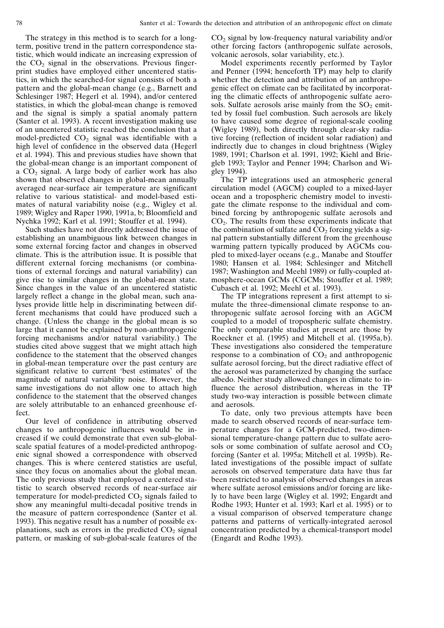The strategy in this method is to search for a longterm, positive trend in the pattern correspondence statistic, which would indicate an increasing expression of the  $CO<sub>2</sub>$  signal in the observations. Previous fingerprint studies have employed either uncentered statistics, in which the searched-for signal consists of both a pattern and the global-mean change (e.g., Barnett and Schlesinger 1987; Hegerl et al. 1994), and/or centered statistics, in which the global-mean change is removed and the signal is simply a spatial anomaly pattern (Santer et al. 1993). A recent investigation making use of an uncentered statistic reached the conclusion that a model-predicted  $CO<sub>2</sub>$  signal was identifiable with a high level of confidence in the observed data (Hegerl et al. 1994). This and previous studies have shown that the global-mean change is an important component of a  $CO<sub>2</sub>$  signal. A large body of earlier work has also shown that observed changes in global-mean annually averaged near-surface air temperature are significant relative to various statistical- and model-based estimates of natural variability noise (e.g., Wigley et al. 1989; Wigley and Raper 1990, 1991a, b; Bloomfield and Nychka 1992; Karl et al. 1991; Stouffer et al. 1994).

Such studies have not directly addressed the issue of establishing an unambiguous link between changes in some external forcing factor and changes in observed climate. This is the attribution issue. It is possible that different external forcing mechanisms (or combinations of external forcings and natural variability) can give rise to similar changes in the global-mean state. Since changes in the value of an uncentered statistic largely reflect a change in the global mean, such analyses provide little help in discriminating between different mechanisms that could have produced such a change. (Unless the change in the global mean is so large that it cannot be explained by non-anthropogenic forcing mechanisms and/or natural variability.) The studies cited above suggest that we might attach high confidence to the statement that the observed changes in global-mean temperature over the past century are significant relative to current 'best estimates' of the magnitude of natural variability noise. However, the same investigations do not allow one to attach high confidence to the statement that the observed changes are solely attributable to an enhanced greenhouse effect.

Our level of confidence in attributing observed changes to anthropogenic influences would be increased if we could demonstrate that even sub-globalscale spatial features of a model-predicted anthropogenic signal showed a correspondence with observed changes. This is where centered statistics are useful, since they focus on anomalies about the global mean. The only previous study that employed a centered statistic to search observed records of near-surface air temperature for model-predicted  $CO<sub>2</sub>$  signals failed to show any meaningful multi-decadal positive trends in the measure of pattern correspondence (Santer et al. 1993). This negative result has a number of possible explanations, such as errors in the predicted  $CO<sub>2</sub>$  signal pattern, or masking of sub-global-scale features of the

 $CO<sub>2</sub>$  signal by low-frequency natural variability and/or other forcing factors (anthropogenic sulfate aerosols, volcanic aerosols, solar variability, etc.).

Model experiments recently performed by Taylor and Penner  $(1994;$  henceforth TP) may help to clarify whether the detection and attribution of an anthropogenic effect on climate can be facilitated by incorporating the climatic effects of anthropogenic sulfate aerosols. Sulfate aerosols arise mainly from the  $SO<sub>2</sub>$  emitted by fossil fuel combustion. Such aerosols are likely to have caused some degree of regional-scale cooling (Wigley 1989), both directly through clear-sky radiative forcing (reflection of incident solar radiation) and indirectly due to changes in cloud brightness (Wigley 1989, 1991; Charlson et al. 1991, 1992; Kiehl and Briegleb 1993; Taylor and Penner 1994; Charlson and Wigley 1994).

The TP integrations used an atmospheric general circulation model (AGCM) coupled to a mixed-layer ocean and a tropospheric chemistry model to investigate the climate response to the individual and combined forcing by anthropogenic sulfate aerosols and  $CO<sub>2</sub>$ . The results from these experiments indicate that the combination of sulfate and  $CO<sub>2</sub>$  forcing yields a signal pattern substantially different from the greenhouse warming pattern typically produced by AGCMs coupled to mixed-layer oceans (e.g., Manabe and Stouffer 1980; Hansen et al. 1984; Schlesinger and Mitchell 1987; Washington and Meehl 1989) or fully-coupled atmosphere-ocean GCMs (CGCMs; Stouffer et al. 1989; Cubasch et al. 1992; Meehl et al. 1993).

The TP integrations represent a first attempt to simulate the three-dimensional climate response to anthropogenic sulfate aerosol forcing with an AGCM coupled to a model of tropospheric sulfate chemistry. The only comparable studies at present are those by Roeckner et al. (1995) and Mitchell et al. (1995a, b). These investigations also considered the temperature response to a combination of  $CO<sub>2</sub>$  and anthropogenic sulfate aerosol forcing, but the direct radiative effect of the aerosol was parameterized by changing the surface albedo. Neither study allowed changes in climate to influence the aerosol distribution, whereas in the TP study two-way interaction is possible between climate and aerosols.

To date, only two previous attempts have been made to search observed records of near-surface temperature changes for a GCM-predicted, two-dimensional temperature-change pattern due to sulfate aerosols or some combination of sulfate aerosol and  $CO<sub>2</sub>$ forcing (Santer et al. 1995a; Mitchell et al. 1995b). Related investigations of the possible impact of sulfate aerosols on observed temperature data have thus far been restricted to analysis of observed changes in areas where sulfate aerosol emissions and/or forcing are likely to have been large (Wigley et al. 1992; Engardt and Rodhe 1993; Hunter et al. 1993; Karl et al. 1995) or to a visual comparison of observed temperature change patterns and patterns of vertically-integrated aerosol concentration predicted by a chemical-transport model (Engardt and Rodhe 1993).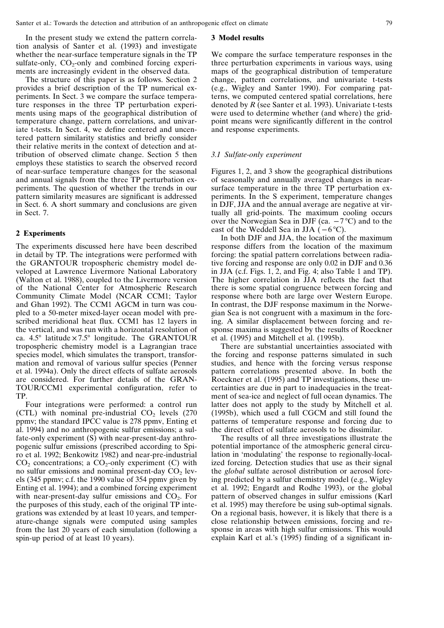In the present study we extend the pattern correlation analysis of Santer et al. (1993) and investigate whether the near-surface temperature signals in the TP sulfate-only,  $CO_2$ -only and combined forcing experiments are increasingly evident in the observed data.

The structure of this paper is as follows. Section 2 provides a brief description of the TP numerical experiments. In Sect. 3 we compare the surface temperature responses in the three TP perturbation experiments using maps of the geographical distribution of temperature change, pattern correlations, and univariate t-tests. In Sect. 4, we define centered and uncentered pattern similarity statistics and briefly consider their relative merits in the context of detection and attribution of observed climate change. Section 5 then employs these statistics to search the observed record of near-surface temperature changes for the seasonal and annual signals from the three TP perturbation experiments. The question of whether the trends in our pattern similarity measures are significant is addressed in Sect. 6. A short summary and conclusions are given in Sect. 7.

#### **2 Experiments**

The experiments discussed here have been described in detail by TP. The integrations were performed with the GRANTOUR tropospheric chemistry model developed at Lawrence Livermore National Laboratory (Walton et al. 1988), coupled to the Livermore version of the National Center for Atmospheric Research Community Climate Model (NCAR CCM1; Taylor and Ghan 1992). The CCM1 AGCM in turn was coupled to a 50-meter mixed-layer ocean model with prescribed meridional heat flux. CCM1 has 12 layers in the vertical, and was run with a horizontal resolution of ca.  $4.5^\circ$  latitude  $\times 7.5^\circ$  longitude. The GRANTOUR tropospheric chemistry model is a Lagrangian trace species model, which simulates the transport, transformation and removal of various sulfur species (Penner et al. 1994a). Only the direct effects of sulfate aerosols are considered. For further details of the GRAN-TOUR/CCM1 experimental configuration, refer to TP.

Four integrations were performed: a control run (CTL) with nominal pre-industrial  $CO<sub>2</sub>$  levels (270) ppmv; the standard IPCC value is 278 ppmv, Enting et al. 1994) and no anthropogenic sulfur emissions; a sulfate-only experiment (S) with near-present-day anthropogenic sulfur emissions (prescribed according to Spiro et al. 1992; Benkowitz 1982) and near-pre-industrial  $CO<sub>2</sub>$  concentrations; a  $CO<sub>2</sub>$ -only experiment (C) with no sulfur emissions and nominal present-day  $CO<sub>2</sub>$  levels (345 ppmv; c.f. the 1990 value of 354 ppmv given by Enting et al. 1994); and a combined forcing experiment with near-present-day sulfur emissions and  $CO<sub>2</sub>$ . For the purposes of this study, each of the original TP integrations was extended by at least 10 years, and temperature-change signals were computed using samples from the last 20 years of each simulation (following a spin-up period of at least 10 years).

### **3 Model results**

We compare the surface temperature responses in the three perturbation experiments in various ways, using maps of the geographical distribution of temperature change, pattern correlations, and univariate t-tests (e.g., Wigley and Santer 1990). For comparing patterns, we computed centered spatial correlations, here denoted by *R* (see Santer et al. 1993). Univariate t-tests were used to determine whether (and where) the gridpoint means were significantly different in the control and response experiments.

# *3.1 Sulfate-only experiment*

Figures 1, 2, and 3 show the geographical distributions of seasonally and annually averaged changes in nearsurface temperature in the three TP perturbation experiments. In the S experiment, temperature changes in DJF, JJA and the annual average are negative at virtually all grid-points. The maximum cooling occurs over the Norwegian Sea in DJF (ca.  $-7^{\circ}$ C) and to the east of the Weddell Sea in JJA ( $-6^{\circ}$ C).

In both DJF and JJA, the location of the maximum response differs from the location of the maximum forcing: the spatial pattern correlations between radiative forcing and response are only 0.02 in DJF and 0.36 in JJA (c.f. Figs. 1, 2, and Fig. 4; also Table 1 and TP). The higher correlation in JJA reflects the fact that there is some spatial congruence between forcing and response where both are large over Western Europe. In contrast, the DJF response maximum in the Norwegian Sea is not congruent with a maximum in the forcing. A similar displacement between forcing and response maxima is suggested by the results of Roeckner et al. (1995) and Mitchell et al. (1995b).

There are substantial uncertainties associated with the forcing and response patterns simulated in such studies, and hence with the forcing versus response pattern correlations presented above. In both the Roeckner et al. (1995) and TP investigations, these uncertainties are due in part to inadequacies in the treatment of sea-ice and neglect of full ocean dynamics. The latter does not apply to the study by Mitchell et al. (1995b), which used a full CGCM and still found the patterns of temperature response and forcing due to the direct effect of sulfate aerosols to be dissimilar.

The results of all three investigations illustrate the potential importance of the atmospheric general circulation in 'modulating' the response to regionally-localized forcing. Detection studies that use as their signal the *global* sulfate aerosol distribution or aerosol forcing predicted by a sulfur chemistry model (e.g., Wigley et al. 1992; Engardt and Rodhe 1993), or the global pattern of observed changes in sulfur emissions (Karl et al. 1995) may therefore be using sub-optimal signals. On a regional basis, however, it is likely that there is a close relationship between emissions, forcing and response in areas with high sulfur emissions. This would explain Karl et al.'s (1995) finding of a significant in-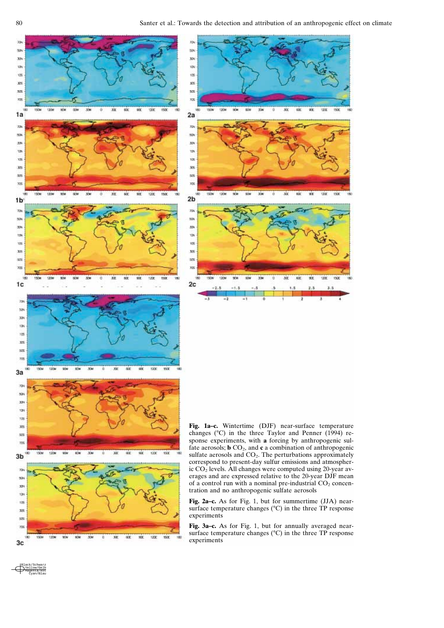

 $\bigoplus^{\mathbb{N}}$ Black/Schwarz<br>T<sup>Yellow/Gelb</sup> Magenta/Rot Cyan/Blau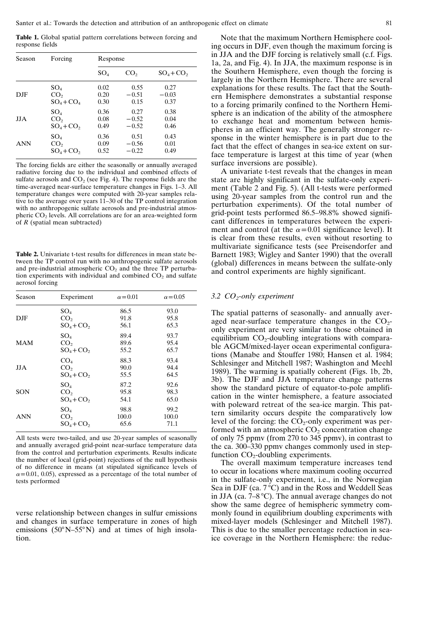**Table 1.** Global spatial pattern correlations between forcing and response fields

| Season       | Forcing         | Response        |                 |               |  |  |  |  |
|--------------|-----------------|-----------------|-----------------|---------------|--|--|--|--|
|              |                 | SO <sub>4</sub> | CO <sub>2</sub> | $SO_4 + CO_2$ |  |  |  |  |
| $_{\rm DJF}$ | $SO_4$          | 0.02            | 0.55            | 0.27          |  |  |  |  |
|              | CO <sub>2</sub> | 0.20            | $-0.51$         | $-0.03$       |  |  |  |  |
|              | $SO_4 + CO_4$   | 0.30            | 0.15            | 0.37          |  |  |  |  |
| JIA          | SO <sub>4</sub> | 0.36            | 0.27            | 0.38          |  |  |  |  |
|              | CO <sub>2</sub> | 0.08            | $-0.52$         | 0.04          |  |  |  |  |
|              | $SO_4 + CO_2$   | 0.49            | $-0.52$         | 0.46          |  |  |  |  |
| <b>ANN</b>   | SO <sub>4</sub> | 0.36            | 0.51            | 0.43          |  |  |  |  |
|              | CO <sub>2</sub> | 0.09            | $-0.56$         | 0.01          |  |  |  |  |
|              | $SO_4$ + $CO_2$ | 0.52            | $-0.22$         | 0.49          |  |  |  |  |

The forcing fields are either the seasonally or annually averaged radiative forcing due to the individual and combined effects of sulfate aerosols and  $CO<sub>2</sub>$  (see Fig. 4). The response fields are the time-averaged near-surface temperature changes in Figs. 1–3. All temperature changes were computed with 20-year samples relative to the average over years 11–30 of the TP control integration with no anthropogenic sulfate aerosols and pre-industrial atmospheric  $CO<sub>2</sub>$  levels. All correlations are for an area-weighted form of *R* (spatial mean subtracted)

**Table 2.** Univariate t-test results for differences in mean state between the TP control run with no anthropogenic sulfate aerosols and pre-industrial atmospheric  $CO<sub>2</sub>$  and the three TP perturbation experiments with individual and combined  $CO<sub>2</sub>$  and sulfate aerosol forcing

| Season     | Experiment      | $\alpha$ =0.01 | $\alpha$ = 0.05 |
|------------|-----------------|----------------|-----------------|
| DJF        | SO <sub>4</sub> | 86.5           | 93.0            |
|            | CO <sub>2</sub> | 91.8           | 95.8            |
|            | $SO_4$ + $CO_2$ | 56.1           | 65.3            |
| <b>MAM</b> | SO <sub>4</sub> | 89.4           | 93.7            |
|            | CO <sub>2</sub> | 89.6           | 95.4            |
|            | $SO_4$ + $CO_2$ | 55.2           | 65.7            |
| <b>JJA</b> | CO <sub>4</sub> | 88.3           | 93.4            |
|            | CO <sub>2</sub> | 90.0           | 94.4            |
|            | $SO_4$ + $CO_2$ | 55.5           | 64.5            |
| <b>SON</b> | SO <sub>4</sub> | 87.2           | 92.6            |
|            | CO <sub>2</sub> | 95.8           | 98.3            |
|            | $SO_4 + CO_2$   | 54.1           | 65.0            |
| <b>ANN</b> | SO <sub>4</sub> | 98.8           | 99.2            |
|            | CO <sub>2</sub> | 100.0          | 100.0           |
|            | $SO_4$ + $CO_2$ | 65.6           | 71.1            |

All tests were two-tailed, and use 20-year samples of seasonally and annually averaged grid-point near-surface temperature data from the control and perturbation experiments. Results indicate the number of local (grid-point) rejections of the null hypothesis of no difference in means (at stipulated significance levels of  $\alpha$ =0.01, 0.05), expressed as a percentage of the total number of tests performed

verse relationship between changes in sulfur emissions and changes in surface temperature in zones of high emissions  $(50^{\circ}N-55^{\circ}N)$  and at times of high insolation.

Note that the maximum Northern Hemisphere cooling occurs in DJF, even though the maximum forcing is in JJA and the DJF forcing is relatively small (c.f. Figs. 1a, 2a, and Fig. 4). In JJA, the maximum response is in the Southern Hemisphere, even though the forcing is largely in the Northern Hemisphere. There are several explanations for these results. The fact that the Southern Hemisphere demonstrates a substantial response to a forcing primarily confined to the Northern Hemisphere is an indication of the ability of the atmosphere to exchange heat and momentum between hemispheres in an efficient way. The generally stronger response in the winter hemisphere is in part due to the fact that the effect of changes in sea-ice extent on surface temperature is largest at this time of year (when surface inversions are possible).

A univariate t-test reveals that the changes in mean state are highly significant in the sulfate-only experiment (Table 2 and Fig. 5). (All t-tests were performed using 20-year samples from the control run and the perturbation experiments). Of the total number of grid-point tests performed 86.5–98.8% showed significant differences in temperatures between the experiment and control (at the  $\alpha$ =0.01 significance level). It is clear from these results, even without resorting to multivariate significance tests (see Preisendorfer and Barnett 1983; Wigley and Santer 1990) that the overall (global) differences in means between the sulfate-only and control experiments are highly significant.

# *3.2 CO2-only experiment*

The spatial patterns of seasonally- and annually averaged near-surface temperature changes in the  $CO<sub>2</sub>$ only experiment are very similar to those obtained in equilibrium  $CO<sub>2</sub>$ -doubling integrations with comparable AGCM/mixed-layer ocean experimental configurations (Manabe and Stouffer 1980; Hansen et al. 1984; Schlesinger and Mitchell 1987; Washington and Meehl 1989). The warming is spatially coherent (Figs. 1b, 2b, 3b). The DJF and JJA temperature change patterns show the standard picture of equator-to-pole amplification in the winter hemisphere, a feature associated with poleward retreat of the sea-ice margin. This pattern similarity occurs despite the comparatively low level of the forcing: the  $\overline{CO_2}$ -only experiment was performed with an atmospheric  $CO<sub>2</sub>$  concentration change of only 75 ppmv (from 270 to 345 ppmv), in contrast to the ca. 300–330 ppmv changes commonly used in stepfunction  $CO<sub>2</sub>$ -doubling experiments.

The overall maximum temperature increases tend to occur in locations where maximum cooling occurred in the sulfate-only experiment, i.e., in the Norwegian Sea in DJF (ca.  $7\degree C$ ) and in the Ross and Weddell Seas in JJA (ca.  $7-8$ °C). The annual average changes do not show the same degree of hemispheric symmetry commonly found in equilibrium doubling experiments with mixed-layer models (Schlesinger and Mitchell 1987). This is due to the smaller percentage reduction in seaice coverage in the Northern Hemisphere: the reduc-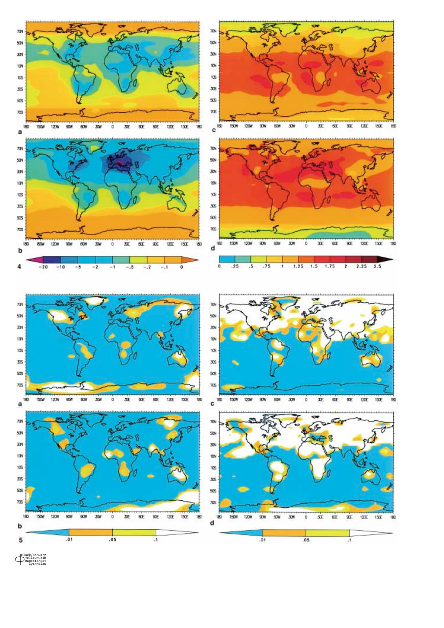

X Black/Schwarz Yellow/Gelb Magenta/Rot Cyan/Blau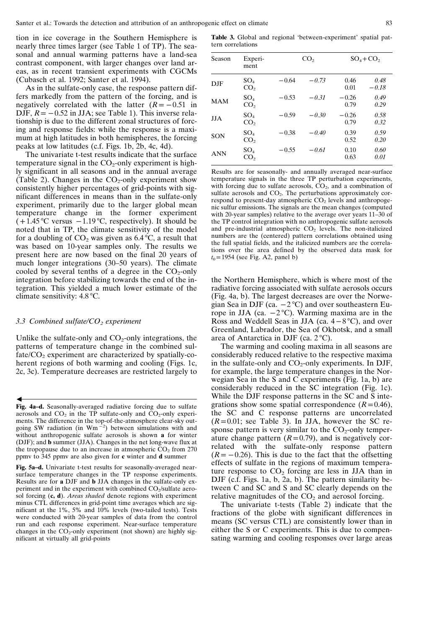tion in ice coverage in the Southern Hemisphere is nearly three times larger (see Table 1 of TP). The seasonal and annual warming patterns have a land-sea contrast component, with larger changes over land areas, as in recent transient experiments with CGCMs (Cubasch et al. 1992; Santer et al. 1994).

As in the sulfate-only case, the response pattern differs markedly from the pattern of the forcing, and is negatively correlated with the latter  $(R = -0.51$  in DJF,  $R = -0.52$  in JJA; see Table 1). This inverse relationship is due to the different zonal structures of forcing and response fields: while the response is a maximum at high latitudes in both hemispheres, the forcing peaks at low latitudes (c.f. Figs. 1b, 2b, 4c, 4d).

The univariate t-test results indicate that the surface temperature signal in the  $CO_2$ -only experiment is highly significant in all seasons and in the annual average (Table 2). Changes in the  $CO_2$ -only experiment show consistently higher percentages of grid-points with significant differences in means than in the sulfate-only experiment, primarily due to the larger global mean temperature change in the former experiment  $(+1.45\degree$ C versus  $-1.19\degree$ C, respectively). It should be noted that in TP, the climate sensitivity of the model for a doubling of  $CO_2$  was given as 6.4 °C, a result that was based on 10-year samples only. The results we present here are now based on the final 20 years of much longer integrations (30–50 years). The climate cooled by several tenths of a degree in the  $CO_2$ -only integration before stabilizing towards the end of the integration. This yielded a much lower estimate of the climate sensitivity: 4.8 °C.

# *3.3 Combined sulfate/CO2 experiment*

Unlike the sulfate-only and  $CO<sub>2</sub>$ -only integrations, the patterns of temperature change in the combined sulfate/ $CO<sub>2</sub>$  experiment are characterized by spatially-coherent regions of both warming and cooling (Figs. 1c, 2c, 3c). Temperature decreases are restricted largely to

**Table 3.** Global and regional 'between-experiment' spatial pattern correlations

| Season     | Experi-<br>ment                    |         | CO <sub>2</sub> | $SO_4$ + $CO_2$ |                 |  |
|------------|------------------------------------|---------|-----------------|-----------------|-----------------|--|
| DJF        | $SO_4$<br>CO <sub>2</sub>          | $-0.64$ | $-0.73$         | 0.46<br>0.01    | 0.48<br>$-0.18$ |  |
| <b>MAM</b> | SO <sub>4</sub><br>CO <sub>2</sub> | $-0.53$ | $-0.31$         | $-0.26$<br>0.79 | 0.49<br>0.29    |  |
| JIA        | SO <sub>4</sub><br>CO <sub>2</sub> | $-0.59$ | $-0.30$         | $-0.26$<br>0.79 | 0.58<br>0.32    |  |
| <b>SON</b> | SO <sub>4</sub><br>CO <sub>2</sub> | $-0.38$ | $-0.40$         | 0.39<br>0.52    | 0.59<br>0.20    |  |
| <b>ANN</b> | SO <sub>4</sub><br>CO <sub>2</sub> | $-0.55$ | $-0.61$         | 0.10<br>0.63    | 0.60<br>0.01    |  |

Results are for seasonally- and annually averaged near-surface temperature signals in the three TP perturbation experiments, with forcing due to sulfate aerosols,  $CO<sub>2</sub>$ , and a combination of sulfate aerosols and CO<sub>2</sub>. The perturbations approximately correspond to present-day atmospheric  $CO<sub>2</sub>$  levels and anthropogenic sulfur emissions. The signals are the mean changes (computed with 20-year samples) relative to the average over years 11–30 of the TP control integration with no anthropogenic sulfate aerosols and pre-industrial atmospheric  $CO<sub>2</sub>$  levels. The non-italicized numbers are the (centered) pattern correlations obtained using the full spatial fields, and the italicized numbers are the correlations over the area defined by the observed data mask for  $t_0$ =1954 (see Fig. A2, panel b)

the Northern Hemisphere, which is where most of the radiative forcing associated with sulfate aerosols occurs (Fig. 4a, b). The largest decreases are over the Norwegian Sea in DJF (ca.  $-2^{\circ}$ C) and over southeastern Europe in JJA (ca.  $-2^{\circ}$ C). Warming maxima are in the Ross and Weddell Seas in JJA (ca.  $4-8$ °C), and over Greenland, Labrador, the Sea of Okhotsk, and a small area of Antarctica in DJF (ca.  $2^{\circ}$ C).

The warming and cooling maxima in all seasons are considerably reduced relative to the respective maxima in the sulfate-only and  $CO_2$ -only experiments. In DJF, for example, the large temperature changes in the Norwegian Sea in the S and C experiments (Fig. 1a, b) are considerably reduced in the SC integration (Fig. 1c). While the DJF response patterns in the SC and S integrations show some spatial correspondence  $(R=0.46)$ , the SC and C response patterns are uncorrelated  $(R=0.01;$  see Table 3). In JJA, however the SC response pattern is very similar to the  $CO_2$ -only temperature change pattern  $(R=0.79)$ , and is negatively correlated with the sulfate-only response pattern  $(R = -0.26)$ . This is due to the fact that the offsetting effects of sulfate in the regions of maximum temperature response to  $CO<sub>2</sub>$  forcing are less in JJA than in DJF (c.f. Figs. 1a, b, 2a, b). The pattern similarity between C and SC and S and SC clearly depends on the relative magnitudes of the  $CO<sub>2</sub>$  and aerosol forcing.

The univariate t-tests (Table 2) indicate that the fractions of the globe with significant differences in means (SC versus CTL) are consistently lower than in either the S or C experiments. This is due to compensating warming and cooling responses over large areas

 $\blacktriangleleft$ **Fig. 4a–d.** Seasonally-averaged radiative forcing due to sulfate aerosols and  $CO<sub>2</sub>$  in the TP sulfate-only and  $CO<sub>2</sub>$ -only experiments. The difference in the top-of-the-atmosphere clear-sky outgoing SW radiation (in  $Wm^{-2}$ ) between simulations with and without anthropogenic sulfate aerosols is shown **a** for winter (DJF); and **b** summer (JJA). Changes in the net long-wave flux at the tropopause due to an increase in atmospheric  $CO<sub>2</sub>$  from 270 ppmv to 345 ppmv are also given for **c** winter and **d** summer

**Fig. 5a–d.** Univariate t-test results for seasonally-averaged nearsurface temperature changes in the TP response experiments. Results are for **a** DJF and **b** JJA changes in the sulfate-only experiment and in the experiment with combined  $CO<sub>2</sub>/sulfate$  aerosol forcing (**c, d**). *Areas shaded* denote regions with experiment minus CTL differences in grid-point time averages which are significant at the 1%, 5% and 10% levels (two-tailed tests). Tests were conducted with 20-year samples of data from the control run and each response experiment. Near-surface temperature changes in the  $CO_2$ -only experiment (not shown) are highly significant at virtually all grid-points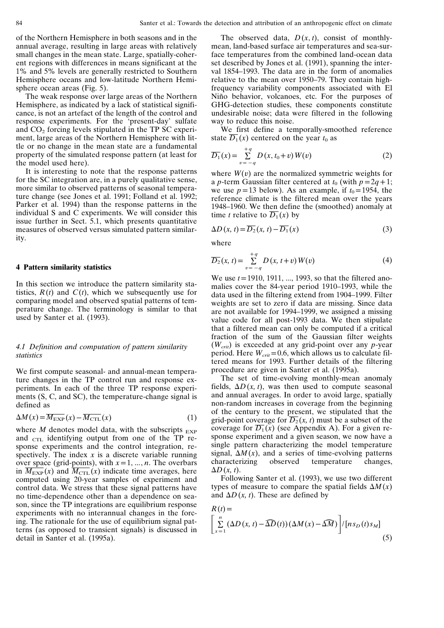of the Northern Hemisphere in both seasons and in the annual average, resulting in large areas with relatively small changes in the mean state. Large, spatially-coherent regions with differences in means significant at the 1% and 5% levels are generally restricted to Southern Hemisphere oceans and low-latitude Northern Hemisphere ocean areas (Fig. 5).

The weak response over large areas of the Northern Hemisphere, as indicated by a lack of statistical significance, is not an artefact of the length of the control and response experiments. For the 'present-day' sulfate and  $CO<sub>2</sub>$  forcing levels stipulated in the TP SC experiment, large areas of the Northern Hemisphere with little or no change in the mean state are a fundamental property of the simulated response pattern (at least for the model used here).

It is interesting to note that the response patterns for the SC integration are, in a purely qualitative sense, more similar to observed patterns of seasonal temperature change (see Jones et al. 1991; Folland et al. 1992; Parker et al. 1994) than the response patterns in the individual S and C experiments. We will consider this issue further in Sect. 5.1, which presents quantitative measures of observed versus simulated pattern similarity.

#### **4 Pattern similarity statistics**

In this section we introduce the pattern similarity statistics,  $R(t)$  and  $C(t)$ , which we subsequently use for comparing model and observed spatial patterns of temperature change. The terminology is similar to that used by Santer et al. (1993).

# *4.1 Definition and computation of pattern similarity statistics*

We first compute seasonal- and annual-mean temperature changes in the TP control run and response experiments. In each of the three TP response experiments (S, C, and SC), the temperature-change signal is defined as

$$
\Delta M(x) = \overline{M_{\text{EXP}}}(x) - \overline{M_{\text{CTL}}}(x) \tag{1}
$$

where  $M$  denotes model data, with the subscripts  $_{\text{EXP}}$ and  $_{\text{CTL}}$  identifying output from one of the TP response experiments and the control integration, respectively. The index x is a discrete variable running over space (grid-points), with  $x=1, ..., n$ . The overbars in  $\overline{M_{\text{EXP}}}(x)$  and  $\overline{M_{\text{CTL}}}(x)$  indicate time averages, here computed using 20-year samples of experiment and control data. We stress that these signal patterns have no time-dependence other than a dependence on season, since the TP integrations are equilibrium response experiments with no interannual changes in the forcing. The rationale for the use of equilibrium signal patterns (as opposed to transient signals) is discussed in detail in Santer et al. (1995a).

The observed data,  $D(x, t)$ , consist of monthlymean, land-based surface air temperatures and sea-surface temperatures from the combined land-ocean data set described by Jones et al. (1991), spanning the interval 1854–1993. The data are in the form of anomalies relative to the mean over 1950–79. They contain highfrequency variability components associated with El Niño behavior, volcanoes, etc. For the purposes of GHG-detection studies, these components constitute undesirable noise; data were filtered in the following way to reduce this noise.

We first define a temporally-smoothed reference state  $\overline{D_1}(x)$  centered on the year  $t_0$  as

$$
\overline{D_1}(x) = \sum_{v=-q}^{+q} D(x, t_0 + v) W(v)
$$
\n(2)

where  $W(v)$  are the normalized symmetric weights for a *p*-term Gaussian filter centered at  $t_0$  (with  $p=2q+1$ ; we use  $p=13$  below). As an example, if  $t_0=1954$ , the reference climate is the filtered mean over the years 1948–1960. We then define the (smoothed) anomaly at time *t* relative to  $\overline{D_1}(x)$  by

$$
\Delta D(x, t) = \overline{D_2}(x, t) - \overline{D_1}(x) \tag{3}
$$

where

$$
\overline{D_2}(x, t) = \sum_{v=-q}^{+q} D(x, t+v) W(v)
$$
\n(4)

We use  $t = 1910, 1911, \ldots, 1993$ , so that the filtered anomalies cover the 84-year period 1910–1993, while the data used in the filtering extend from 1904–1999. Filter weights are set to zero if data are missing. Since data are not available for 1994–1999, we assigned a missing value code for all post-1993 data. We then stipulate that a filtered mean can only be computed if a critical fraction of the sum of the Gaussian filter weights  $(W_{\text{crit}})$  is exceeded at any grid-point over any *p*-year period. Here  $W_{crit} = 0.6$ , which allows us to calculate filtered means for 1993. Further details of the filtering procedure are given in Santer et al. (1995a).

The set of time-evolving monthly-mean anomaly fields,  $\Delta D(x, t)$ , was then used to compute seasonal and annual averages. In order to avoid large, spatially non-random increases in coverage from the beginning of the century to the present, we stipulated that the grid-point coverage for  $\overline{D_2}(x, t)$  must be a subset of the coverage for  $\overline{D_1}(x)$  (see Appendix A). For a given response experiment and a given season, we now have a single pattern characterizing the model temperature signal,  $\Delta M(x)$ , and a series of time-evolving patterns characterizing observed temperature changes,  $\Delta D(x, t)$ .

Following Santer et al. (1993), we use two different types of measure to compare the spatial fields  $\Delta M(x)$ and  $\Delta D(x, t)$ . These are defined by

$$
R(t) = \left[\sum_{x=1}^{n} (\Delta D(x, t) - \widehat{\Delta D}(t)) (\Delta M(x) - \widehat{\Delta M})\right] / [n s_D(t) s_M]
$$
\n(5)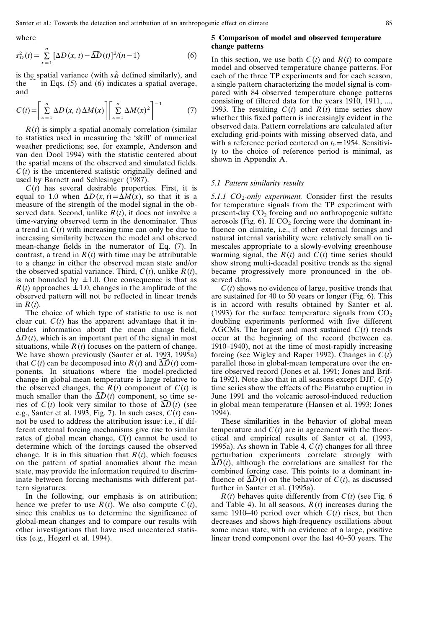where

where  
\n
$$
s_D^2(t) = \sum_{x=1}^n \left[ \Delta D(x, t) - \widehat{\Delta D}(t) \right]^2 / (n - 1)
$$
\n(6)

is the spatial variance (with  $s_M^2$  defined similarly), and the  $\hat{ }$  in Eqs. (5) and (6) indicates a spatial average, and

$$
C(t) = \left[\sum_{x=1}^{n} \Delta D(x, t) \Delta M(x)\right] \left[\sum_{x=1}^{n} \Delta M(x)^{2}\right]^{-1}
$$
 (7)

*R*(*t*) is simply a spatial anomaly correlation (similar to statistics used in measuring the 'skill' of numerical weather predictions; see, for example, Anderson and van den Dool 1994) with the statistic centered about the spatial means of the observed and simulated fields.  $C(t)$  is the uncentered statistic originally defined and used by Barnett and Schlesinger (1987).

 $C(t)$  has several desirable properties. First, it is equal to 1.0 when  $\Delta D(x, t) = \Delta M(x)$ , so that it is a measure of the strength of the model signal in the observed data. Second, unlike *R*(*t*), it does not involve a time-varying observed term in the denominator. Thus a trend in  $C(t)$  with increasing time can only be due to increasing similarity between the model and observed mean-change fields in the numerator of Eq. (7). In contrast, a trend in  $R(t)$  with time may be attributable to a change in either the observed mean state and/or the observed spatial variance. Third,  $C(t)$ , unlike  $R(t)$ , is not bounded by  $\pm 1.0$ . One consequence is that as  $R(t)$  approaches  $\pm 1.0$ , changes in the amplitude of the observed pattern will not be reflected in linear trends in  $R(t)$ .

The choice of which type of statistic to use is not clear cut.  $C(t)$  has the apparent advantage that it includes information about the mean change field,  $\Delta D(t)$ , which is an important part of the signal in most situations, while  $R(t)$  focuses on the pattern of change. We have shown previously (Santer et al. 1993, 1995a)  $\Delta D(t)$ , which is an important part of the signal<br>situations, while *R*(*t*) focuses on the pattern of<br>We have shown previously (Santer et al. 1993<br>that *C*(*t*) can be decomposed into *R*(*t*) and  $\widehat{\Delta D}$ that  $C(t)$  can be decomposed into  $R(t)$  and  $\Delta \overline{D}(t)$  components. In situations where the model-predicted change in global-mean temperature is large relative to the observed changes, the  $R(t)$  component of  $C(t)$  is ponents. In situations where the model-predicted<br>change in global-mean temperature is large relative to<br>the observed changes, the  $R(t)$  component of  $C(t)$  is<br>much smaller than the  $\widehat{\Delta D}(t)$  component, so time se-<br>integr change in global-mean temperature is large rel<br>the observed changes, the  $R(t)$  component of<br>much smaller than the  $\widehat{\Delta D}(t)$  component, so t<br>ries of  $C(t)$  look very similar to those of  $\widehat{\Delta D}$ ries of  $C(t)$  look very similar to those of  $\overline{\Delta}D(t)$  (see e.g., Santer et al. 1993, Fig. 7). In such cases, *C*(*t*) cannot be used to address the attribution issue: i.e., if different external forcing mechanisms give rise to similar rates of global mean change,  $C(t)$  cannot be used to determine which of the forcings caused the observed change. It is in this situation that  $R(t)$ , which focuses on the pattern of spatial anomalies about the mean state, may provide the information required to discriminate between forcing mechanisms with different pattern signatures.

In the following, our emphasis is on attribution; hence we prefer to use  $R(t)$ . We also compute  $C(t)$ , since this enables us to determine the significance of global-mean changes and to compare our results with other investigations that have used uncentered statistics (e.g., Hegerl et al. 1994).

#### **5 Comparison of model and observed temperature change patterns**

In this section, we use both  $C(t)$  and  $R(t)$  to compare model and observed temperature change patterns. For each of the three TP experiments and for each season, a single pattern characterizing the model signal is compared with 84 observed temperature change patterns consisting of filtered data for the years 1910, 1911, ..., 1993. The resulting  $C(t)$  and  $R(t)$  time series show whether this fixed pattern is increasingly evident in the observed data. Pattern correlations are calculated after excluding grid-points with missing observed data, and with a reference period centered on  $t_0$ =1954. Sensitivity to the choice of reference period is minimal, as shown in Appendix A.

#### *5.1 Pattern similarity results*

*5.1.1 CO<sub>2</sub>-only experiment.* Consider first the results for temperature signals from the TP experiment with present-day  $CO<sub>2</sub>$  forcing and no anthropogenic sulfate aerosols (Fig. 6). If  $CO<sub>2</sub>$  forcing were the dominant influence on climate, i.e., if other external forcings and natural internal variability were relatively small on timescales appropriate to a slowly-evolving greenhouse warming signal, the  $R(t)$  and  $C(t)$  time series should show strong multi-decadal positive trends as the signal became progressively more pronounced in the observed data.

 $C(t)$  shows no evidence of large, positive trends that are sustained for 40 to 50 years or longer (Fig. 6). This is in accord with results obtained by Santer et al. (1993) for the surface temperature signals from  $CO<sub>2</sub>$ doubling experiments performed with five different AGCMs. The largest and most sustained  $C(t)$  trends occur at the beginning of the record (between ca. 1910–1940), not at the time of most-rapidly increasing forcing (see Wigley and Raper 1992). Changes in *C*(*t*) parallel those in global-mean temperature over the entire observed record (Jones et al. 1991; Jones and Briffa 1992). Note also that in all seasons except DJF, *C*(*t*) time series show the effects of the Pinatubo eruption in June 1991 and the volcanic aerosol-induced reduction in global mean temperature (Hansen et al. 1993; Jones 1994).

These similarities in the behavior of global mean temperature and  $C(t)$  are in agreement with the theoretical and empirical results of Santer et al. (1993, 1995a). As shown in Table 4, *C*(*t*) changes for all three perturbation experiments correlate strongly with etical and empirical results of Santer et al. (1993, 1995a). As shown in Table 4,  $C(t)$  changes for all three perturbation experiments correlate strongly with  $\Delta D(t)$ , although the correlations are smallest for the correl combined forcing case. This points to a dominant inperturbation<br> $\widehat{\Delta D}(t)$ , althou<br>combined forc<br>fluence of  $\widehat{\Delta D}$ fluence of  $\overline{\Delta}D(t)$  on the behavior of  $C(t)$ , as discussed further in Santer et al. (1995a).

 $R(t)$  behaves quite differently from  $C(t)$  (see Fig. 6) and Table 4). In all seasons,  $R(t)$  increases during the same 1910–40 period over which  $C(t)$  rises, but then decreases and shows high-frequency oscillations about some mean state, with no evidence of a large, positive linear trend component over the last 40–50 years. The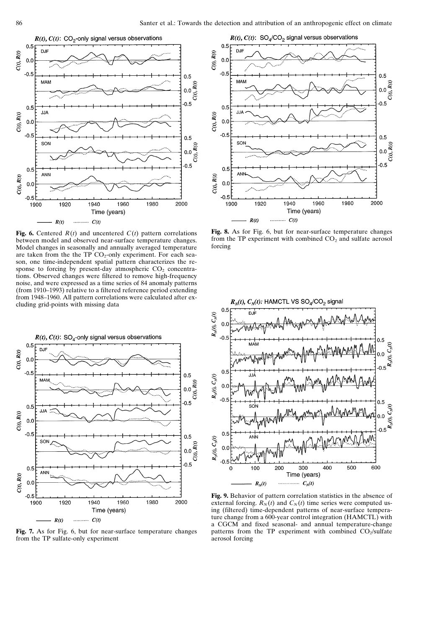

**Fig. 6.** Centered  $R(t)$  and uncentered  $C(t)$  pattern correlations between model and observed near-surface temperature changes. Model changes in seasonally and annually averaged temperature are taken from the the TP  $CO_2$ -only experiment. For each season, one time-independent spatial pattern characterizes the response to forcing by present-day atmospheric  $CO<sub>2</sub>$  concentrations. Observed changes were filtered to remove high-frequency noise, and were expressed as a time series of 84 anomaly patterns (from 1910–1993) relative to a filtered reference period extending from 1948–1960. All pattern correlations were calculated after excluding grid-points with missing data



**Fig. 7.** As for Fig. 6, but for near-surface temperature changes from the TP sulfate-only experiment



**Fig. 8.** As for Fig. 6, but for near-surface temperature changes from the TP experiment with combined  $CO<sub>2</sub>$  and sulfate aerosol forcing



**Fig. 9.** Behavior of pattern correlation statistics in the absence of external forcing.  $\hat{R_N}(t)$  and  $C_N(t)$  time series were computed using (filtered) time-dependent patterns of near-surface temperature change from a 600-year control integration (HAMCTL) with a CGCM and fixed seasonal- and annual temperature-change patterns from the TP experiment with combined  $CO<sub>2</sub>/sulfate$ aerosol forcing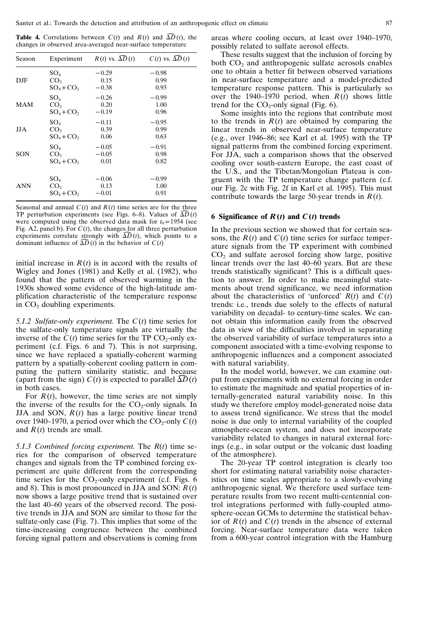| Santer et al.: Towards the detection and attribution of an anthropogenic effect on climate                                                             |                                                                                                      |  |  |  |  |  |  |
|--------------------------------------------------------------------------------------------------------------------------------------------------------|------------------------------------------------------------------------------------------------------|--|--|--|--|--|--|
| <b>Table 4.</b> Correlations between $C(t)$ and $R(t)$ and $\widehat{\Delta D}(t)$ , the<br>changes in observed area-averaged near-surface temperature | areas where cooling occurs, at least over 1940–1970,<br>possibly related to sulfate aerosol effects. |  |  |  |  |  |  |

| <b>Table 4.</b> Correlations between $C(t)$ and $K(t)$ and $\Delta D(t)$ , the<br>changes in observed area-averaged near-surface temperature |                 |                                    |                                    |  |  |  |  |  |  |
|----------------------------------------------------------------------------------------------------------------------------------------------|-----------------|------------------------------------|------------------------------------|--|--|--|--|--|--|
| Season                                                                                                                                       | Experiment      | $R(t)$ vs. $\widehat{\Delta D}(t)$ | $C(t)$ vs. $\widehat{\Delta D}(t)$ |  |  |  |  |  |  |
|                                                                                                                                              | SO <sub>4</sub> | $-0.29$                            | $-0.98$                            |  |  |  |  |  |  |
| $_{\rm DJF}$                                                                                                                                 | CO <sub>2</sub> | 0.15                               | 0.99                               |  |  |  |  |  |  |
|                                                                                                                                              | $SO_4 + CO_2$   | $-0.38$                            | 0.93                               |  |  |  |  |  |  |
|                                                                                                                                              | $SO_4$          | $-0.26$                            | $-0.99$                            |  |  |  |  |  |  |
| MAM                                                                                                                                          | CO <sub>2</sub> | 0.20                               | 1.00                               |  |  |  |  |  |  |
|                                                                                                                                              | $SO_4$ + $CO_2$ | $-0.19$                            | 0.96                               |  |  |  |  |  |  |
|                                                                                                                                              | $SO_4$          | $-0.11$                            | $-0.95$                            |  |  |  |  |  |  |
| JJA                                                                                                                                          | CO <sub>2</sub> | 0.39                               | 0.99                               |  |  |  |  |  |  |
|                                                                                                                                              | $SO_4 + CO_2$   | 0.06                               | 0.63                               |  |  |  |  |  |  |
|                                                                                                                                              | $SO_4$          | $-0.05$                            | $-0.91$                            |  |  |  |  |  |  |
| SON                                                                                                                                          | CO <sub>2</sub> | $-0.05$                            | 0.98                               |  |  |  |  |  |  |
|                                                                                                                                              | $SO_4$ + $CO_2$ | 0.01                               | 0.82                               |  |  |  |  |  |  |
|                                                                                                                                              | $SO_4$          | $-0.06$                            | $-0.99$                            |  |  |  |  |  |  |
| ANN                                                                                                                                          | CO <sub>2</sub> | 0.13                               | 1.00                               |  |  |  |  |  |  |
|                                                                                                                                              | $SO_4$ + $CO_2$ | $-0.01$                            | 0.91                               |  |  |  |  |  |  |

Seasonal and annual  $C(t)$  and  $R(t)$  time series are for the three SO<sub>4</sub>+CO<sub>2</sub> – 0.01 – 0.91<br>Seasonal and annual *C*(*t*) and *R*(*t*) time series are for the the<br>TP perturbation experiments (see Figs. 6–8). Values of  $\widehat{\Delta D}$ TP perturbation experiments (see Figs. 6–8). Values of  $\widehat{\Delta D}(t)$ were computed using the observed data mask for  $t_0 = 1954$  (see Fig. A2, panel b). For *C*(*t*), the changes for all three perturbation The perturbation experiments (see Figs.<br>were computed using the observed data<br>Fig. A2, panel b). For  $C(t)$ , the changes for<br>experiments correlate strongly with  $\Omega \overline{D}$ experiments correlate strongly with  $\widehat{\Delta D}(t)$ , which points to a were computed using the observed data mask for  $t_0$ <br>Fig. A2, panel b). For  $C(t)$ , the changes for all three p<br>experiments correlate strongly with  $\overline{\Delta D}(t)$ , which<br>dominant influence of  $\overline{\Delta D}(t)$  in the behavior of  $C$ 

initial increase in  $R(t)$  is in accord with the results of Wigley and Jones (1981) and Kelly et al. (1982), who found that the pattern of observed warming in the 1930s showed some evidence of the high-latitude amplification characteristic of the temperature response in  $CO<sub>2</sub>$  doubling experiments.

*5.1.2 Sulfate-only experiment.* The *C*(*t*) time series for the sulfate-only temperature signals are virtually the inverse of the  $C(t)$  time series for the TP CO<sub>2</sub>-only experiment (c.f. Figs. 6 and 7). This is not surprising, since we have replaced a spatially-coherent warming pattern by a spatially-coherent cooling pattern in computing the pattern similarity statistic, and because since we have replaced a spatially-coherent warming<br>pattern by a spatially-coherent cooling pattern in com-<br>puting the pattern similarity statistic, and because<br>(apart from the sign)  $C(t)$  is expected to parallel  $\widehat{\Delta D}($ in both cases.

For  $R(t)$ , however, the time series are not simply the inverse of the results for the  $CO_2$ -only signals. In JJA and SON, *R*(*t*) has a large positive linear trend over 1940–1970, a period over which the  $CO_2$ -only  $C(t)$ and *R*(*t*) trends are small.

*5.1.3 Combined forcing experiment.* The *R*(*t*) time series for the comparison of observed temperature changes and signals from the TP combined forcing experiment are quite different from the corresponding time series for the  $CO_2$ -only experiment (c.f. Figs. 6) and 8). This is most pronounced in JJA and SON: *R*(*t*) now shows a large positive trend that is sustained over the last 40–60 years of the observed record. The positive trends in JJA and SON are similar to those for the sulfate-only case (Fig. 7). This implies that some of the time-increasing congruence between the combined forcing signal pattern and observations is coming from

These results suggest that the inclusion of forcing by both  $CO<sub>2</sub>$  and anthropogenic sulfate aerosols enables one to obtain a better fit between observed variations in near-surface temperature and a model-predicted temperature response pattern. This is particularly so over the 1940–1970 period, when  $R(t)$  shows little trend for the  $CO_2$ -only signal (Fig. 6).

Some insights into the regions that contribute most to the trends in  $R(t)$  are obtained by comparing the linear trends in observed near-surface temperature (e.g., over 1946–86; see Karl et al. 1995) with the TP signal patterns from the combined forcing experiment. For JJA, such a comparison shows that the observed cooling over south-eastern Europe, the east coast of the U.S., and the Tibetan/Mongolian Plateau is congruent with the TP temperature change pattern (c.f. our Fig. 2c with Fig. 2f in Karl et al. 1995). This must contribute towards the large 50-year trends in *R*(*t*).

#### **6 Significance of** *R***(***t***) and** *C***(***t***) trends**

In the previous section we showed that for certain seasons, the  $R(t)$  and  $C(t)$  time series for surface temperature signals from the TP experiment with combined  $CO<sub>2</sub>$  and sulfate aerosol forcing show large, positive linear trends over the last 40–60 years. But are these trends statistically significant? This is a difficult question to answer. In order to make meaningful statements about trend significance, we need information about the characteristics of 'unforced' *R*(*t*) and *C*(*t*) trends: i.e., trends due solely to the effects of natural variability on decadal- to century-time scales. We cannot obtain this information easily from the observed data in view of the difficulties involved in separating the observed variability of surface temperatures into a component associated with a time-evolving response to anthropogenic influences and a component associated with natural variability.

In the model world, however, we can examine output from experiments with no external forcing in order to estimate the magnitude and spatial properties of internally-generated natural variability noise. In this study we therefore employ model-generated noise data to assess trend significance. We stress that the model noise is due only to internal variability of the coupled atmosphere-ocean system, and does not incorporate variability related to changes in natural external forcings (e.g., in solar output or the volcanic dust loading of the atmosphere).

The 20-year TP control integration is clearly too short for estimating natural variability noise characteristics on time scales appropriate to a slowly-evolving anthropogenic signal. We therefore used surface temperature results from two recent multi-centennial control integrations performed with fully-coupled atmosphere-ocean GCMs to determine the statistical behavior of  $R(t)$  and  $C(t)$  trends in the absence of external forcing. Near-surface temperature data were taken from a 600-year control integration with the Hamburg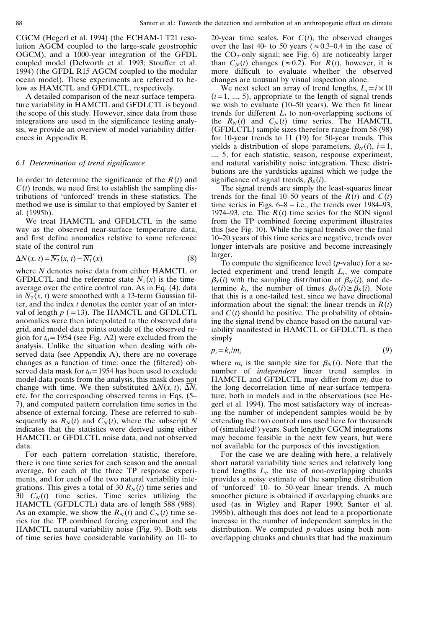CGCM (Hegerl et al. 1994) (the ECHAM-1 T21 resolution AGCM coupled to the large-scale geostrophic OGCM), and a 1000-year integration of the GFDL coupled model (Delworth et al. 1993; Stouffer et al. 1994) (the GFDL R15 AGCM coupled to the modular ocean model). These experiments are referred to below as HAMCTL and GFDLCTL, respectively.

A detailed comparison of the near-surface temperature variability in HAMCTL and GFDLCTL is beyond the scope of this study. However, since data from these integrations are used in the significance testing analysis, we provide an overview of model variability differences in Appendix B.

#### *6.1 Determination of trend significance*

In order to determine the significance of the *R*(*t*) and  $C(t)$  trends, we need first to establish the sampling distributions of 'unforced' trends in these statistics. The method we use is similar to that employed by Santer et al. (1995b).

We treat HAMCTL and GFDLCTL in the same way as the observed near-surface temperature data, and first define anomalies relative to some reference state of the control run

$$
\Delta N(x, t) = \overline{N_2}(x, t) - \overline{N_1}(x) \tag{8}
$$

where *N* denotes noise data from either HAMCTL or GFDLCTL and the reference state  $\overline{N_1}(x)$  is the timeaverage over the entire control run. As in Eq. (4), data in  $N_2(x, t)$  were smoothed with a 13-term Gaussian filter, and the index *t* denotes the center year of an interval of length  $p$  (=13). The HAMCTL and GFDLCTL anomalies were then interpolated to the observed data grid, and model data points outside of the observed region for  $t_0$ =1954 (see Fig. A2) were excluded from the analysis. Unlike the situation when dealing with observed data (see Appendix A), there are no coverage changes as a function of time: once the (filtered) observed data mask for  $t_0$ =1954 has been used to exclude model data points from the analysis, this mask does not changes as a function of time: once the (filtered) observed data mask for  $t_0$  = 1954 has been used to exclude model data points from the analysis, this mask does no change with time. We then substituted  $\Delta N(x, t)$ ,  $\widehat{\$ change with time. We then substituted  $\Delta N(x, t)$ ,  $\widehat{\Delta N}$ , etc. for the corresponding observed terms in Eqs. (5– 7), and computed pattern correlation time series in the absence of external forcing. These are referred to subsequently as  $R_N(t)$  and  $C_N(t)$ , where the subscript N indicates that the statistics were derived using either HAMCTL or GFDLCTL noise data, and not observed data.

For each pattern correlation statistic, therefore, there is one time series for each season and the annual average, for each of the three TP response experiments, and for each of the two natural variability integrations. This gives a total of 30  $R_N(t)$  time series and 30  $C<sub>N</sub>(t)$  time series. Time series utilizing the HAMCTL (GFDLCTL) data are of length 588 (988). As an example, we show the  $R_N(t)$  and  $C_N(t)$  time series for the TP combined forcing experiment and the HAMCTL natural variability noise (Fig. 9). Both sets of time series have considerable variability on 10- to 20-year time scales. For  $C(t)$ , the observed changes over the last 40- to 50 years ( $\approx 0.3-0.4$  in the case of the  $CO_2$ -only signal; see Fig. 6) are noticeably larger than  $C_N(t)$  changes ( $\approx 0.2$ ). For *R(t)*, however, it is more difficult to evaluate whether the observed changes are unusual by visual inspection alone.

We next select an array of trend lengths,  $L_i = i \times 10$  $(i=1, ..., 5)$ , appropriate to the length of signal trends we wish to evaluate (10–50 years). We then fit linear trends for different  $L_i$  to non-overlapping sections of the  $R_N(t)$  and  $C_N(t)$  time series. The HAMCTL (GFDLCTL) sample sizes therefore range from 58 (98) for 10-year trends to 11 (19) for 50-year trends. This yields a distribution of slope parameters,  $\beta_N(i)$ ,  $i=1$ , ..., 5, for each statistic, season, response experiment, and natural variability noise integration. These distributions are the yardsticks against which we judge the significance of signal trends,  $\beta_s(i)$ .

The signal trends are simply the least-squares linear trends for the final 10–50 years of the  $R(t)$  and  $C(t)$ time series in Figs.  $6-8$  – i.e., the trends over 1984–93, 1974–93, etc. The  $R(t)$  time series for the SON signal from the TP combined forcing experiment illustrates this (see Fig. 10). While the signal trends over the final 10–20 years of this time series are negative, trends over longer intervals are positive and become increasingly larger.

To compute the significance level (*p*-value) for a selected experiment and trend length *Li*, we compare  $\beta_S(i)$  with the sampling distribution of  $\beta_N(i)$ , and determine  $k_i$ , the number of times  $\beta_N(i) \geq \beta_S(i)$ . Note that this is a one-tailed test, since we have directional information about the signal: the linear trends in  $R(t)$ and  $C(t)$  should be positive. The probability of obtaining the signal trend by chance based on the natural variability manifested in HAMCTL or GFDLCTL is then simply

$$
p_i = k_i / m_i \tag{9}
$$

where  $m_i$  is the sample size for  $\beta_N(i)$ . Note that the number of *independent* linear trend samples in HAMCTL and GFDLCTL may differ from *mi* due to the long decorrelation time of near-surface temperature, both in models and in the observations (see Hegerl et al. 1994). The most satisfactory way of increasing the number of independent samples would be by extending the two control runs used here for thousands of (simulated!) years. Such lengthy CGCM integrations may become feasible in the next few years, but were not available for the purposes of this investigation.

For the case we are dealing with here, a relatively short natural variability time series and relatively long trend lengths  $L_i$ , the use of non-overlapping chunks provides a noisy estimate of the sampling distribution of 'unforced' 10- to 50-year linear trends. A much smoother picture is obtained if overlapping chunks are used (as in Wigley and Raper 1990; Santer et al. 1995b), although this does not lead to a proportionate increase in the number of independent samples in the distribution. We computed *p*-values using both nonoverlapping chunks and chunks that had the maximum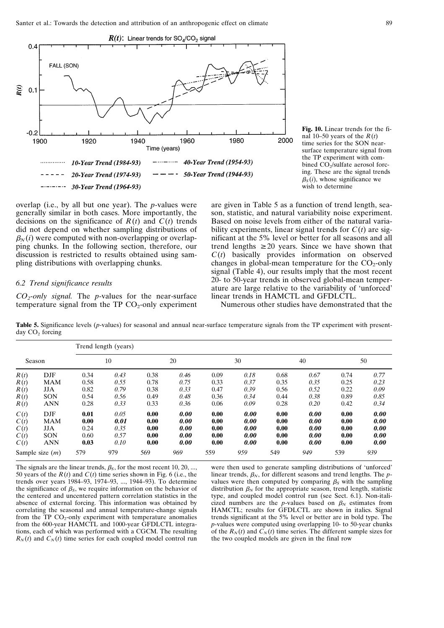

**Fig. 10.** Linear trends for the final 10–50 years of the  $R(t)$ time series for the SON nearsurface temperature signal from the TP experiment with combined  $CO<sub>2</sub>/sulfate$  aerosol forcing. These are the signal trends  $\beta<sub>S</sub>(i)$ , whose significance we wish to determine

overlap (i.e., by all but one year). The *p*-values were generally similar in both cases. More importantly, the decisions on the significance of  $R(t)$  and  $C(t)$  trends did not depend on whether sampling distributions of  $\beta_N(i)$  were computed with non-overlapping or overlapping chunks. In the following section, therefore, our discussion is restricted to results obtained using sampling distributions with overlapping chunks.

# *6.2 Trend significance results*

*CO2-only signal.* The *p*-values for the near-surface temperature signal from the TP  $CO_2$ -only experiment

Numerous other studies have demonstrated that the

linear trends in HAMCTL and GFDLCTL.

are given in Table 5 as a function of trend length, season, statistic, and natural variability noise experiment. Based on noise levels from either of the natural variability experiments, linear signal trends for  $C(t)$  are significant at the 5% level or better for all seasons and all trend lengths  $\geq 20$  years. Since we have shown that  $C(t)$  basically provides information on observed changes in global-mean temperature for the  $CO_2$ -only signal (Table 4), our results imply that the most recent 20- to 50-year trends in observed global-mean temperature are large relative to the variability of 'unforced'

**Table 5.** Significance levels (*p*-values) for seasonal and annual near-surface temperature signals from the TP experiment with presentday  $CO<sub>2</sub>$  forcing

|        |                   |      | Trend length (years) |      |      |      |      |      |      |      |      |
|--------|-------------------|------|----------------------|------|------|------|------|------|------|------|------|
| Season |                   |      | 10                   |      | 20   |      | 30   |      | 40   |      | 50   |
| R(t)   | DJF               | 0.34 | 0.43                 | 0.38 | 0.46 | 0.09 | 0.18 | 0.68 | 0.67 | 0.74 | 0.77 |
| R(t)   | <b>MAM</b>        | 0.58 | 0.55                 | 0.78 | 0.75 | 0.33 | 0.37 | 0.35 | 0.35 | 0.25 | 0.23 |
| R(t)   | JJA               | 0.82 | 0.79                 | 0.38 | 0.33 | 0.47 | 0.39 | 0.56 | 0.52 | 0.22 | 0.09 |
| R(t)   | SON               | 0.54 | 0.56                 | 0.49 | 0.48 | 0.36 | 0.34 | 0.44 | 0.38 | 0.89 | 0.85 |
| R(t)   | <b>ANN</b>        | 0.28 | 0.33                 | 0.33 | 0.36 | 0.06 | 0.09 | 0.28 | 0.20 | 0.42 | 0.34 |
| C(t)   | DJF               | 0.01 | 0.05                 | 0.00 | 0.00 | 0.00 | 0.00 | 0.00 | 0.00 | 0.00 | 0.00 |
| C(t)   | <b>MAM</b>        | 0.00 | 0.01                 | 0.00 | 0.00 | 0.00 | 0.00 | 0.00 | 0.00 | 0.00 | 0.00 |
| C(t)   | <b>JJA</b>        | 0.24 | 0.35                 | 0.00 | 0.00 | 0.00 | 0.00 | 0.00 | 0.00 | 0.00 | 0.00 |
| C(t)   | <b>SON</b>        | 0.60 | 0.57                 | 0.00 | 0.00 | 0.00 | 0.00 | 0.00 | 0.00 | 0.00 | 0.00 |
| C(t)   | <b>ANN</b>        | 0.03 | 0.10                 | 0.00 | 0.00 | 0.00 | 0.00 | 0.00 | 0.00 | 0.00 | 0.00 |
|        | Sample size $(m)$ | 579  | 979                  | 569  | 969  | 559  | 959  | 549  | 949  | 539  | 939  |

The signals are the linear trends,  $\beta_s$ , for the most recent 10, 20, ..., 50 years of the *R*(*t*) and *C*(*t*) time series shown in Fig. 6 (i.e., the trends over years 1984–93, 1974–93, ..., 1944–93). To determine the significance of  $\beta_s$ , we require information on the behavior of the centered and uncentered pattern correlation statistics in the absence of external forcing. This information was obtained by correlating the seasonal and annual temperature-change signals from the  $TP CO_2$ -only experiment with temperature anomalies from the 600-year HAMCTL and 1000-year GFDLCTL integrations, each of which was performed with a CGCM. The resulting  $R_N(t)$  and  $C_N(t)$  time series for each coupled model control run

were then used to generate sampling distributions of 'unforced' linear trends,  $\beta_N$ , for different seasons and trend lengths. The *p*values were then computed by comparing  $\beta_s$  with the sampling distribution  $\beta_N$  for the appropriate season, trend length, statistic type, and coupled model control run (see Sect. 6.1). Non-italicized numbers are the *p*-values based on  $\beta_N$  estimates from HAMCTL; results for GFDLCTL are shown in italics. Signal trends significant at the 5% level or better are in bold type. The *p*-values were computed using overlapping 10- to 50-year chunks of the  $R_N(t)$  and  $C_N(t)$  time series. The different sample sizes for the two coupled models are given in the final row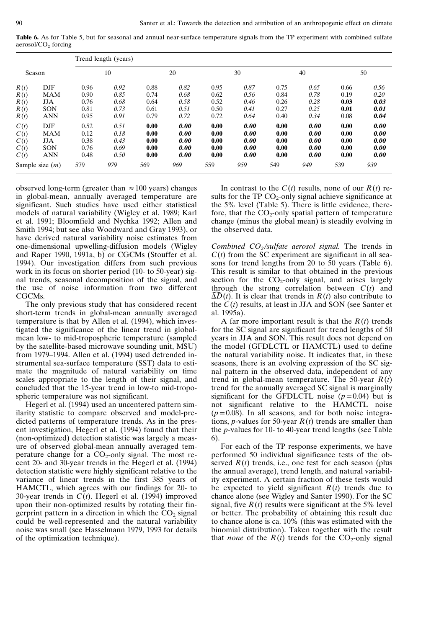Table 6. As for Table 5, but for seasonal and annual near-surface temperature signals from the TP experiment with combined sulfate aerosol/CO<sub>2</sub> forcing

|                                      |                                                             |                                      | Trend length (years)                 |                                      |                                      |                                      |                                      |                                      |                                      |                                      |                                      |  |
|--------------------------------------|-------------------------------------------------------------|--------------------------------------|--------------------------------------|--------------------------------------|--------------------------------------|--------------------------------------|--------------------------------------|--------------------------------------|--------------------------------------|--------------------------------------|--------------------------------------|--|
| Season                               |                                                             | 10                                   |                                      | 20                                   |                                      |                                      | 30                                   |                                      | 40                                   |                                      | 50                                   |  |
| R(t)<br>R(t)<br>R(t)<br>R(t)<br>R(t) | DJF<br><b>MAM</b><br><b>JJA</b><br><b>SON</b><br><b>ANN</b> | 0.96<br>0.90<br>0.76<br>0.81<br>0.95 | 0.92<br>0.85<br>0.68<br>0.73<br>0.91 | 0.88<br>0.74<br>0.64<br>0.61<br>0.79 | 0.82<br>0.68<br>0.58<br>0.51<br>0.72 | 0.95<br>0.62<br>0.52<br>0.50<br>0.72 | 0.87<br>0.56<br>0.46<br>0.41<br>0.64 | 0.75<br>0.84<br>0.26<br>0.27<br>0.40 | 0.65<br>0.78<br>0.28<br>0.25<br>0.34 | 0.66<br>0.19<br>0.03<br>0.01<br>0.08 | 0.56<br>0.20<br>0.03<br>0.01<br>0.04 |  |
| C(t)<br>C(t)<br>C(t)<br>C(t)<br>C(t) | DJF<br><b>MAM</b><br><b>JJA</b><br><b>SON</b><br><b>ANN</b> | 0.52<br>0.12<br>0.38<br>0.76<br>0.48 | 0.51<br>0.18<br>0.43<br>0.69<br>0.50 | 0.00<br>0.00<br>0.00<br>0.00<br>0.00 | 0.00<br>0.00<br>0.00<br>0.00<br>0.00 | 0.00<br>0.00<br>0.00<br>0.00<br>0.00 | 0.00<br>0.00<br>0.00<br>0.00<br>0.00 | 0.00<br>0.00<br>0.00<br>0.00<br>0.00 | 0.00<br>0.00<br>0.00<br>0.00<br>0.00 | 0.00<br>0.00<br>0.00<br>0.00<br>0.00 | 0.00<br>0.00<br>0.00<br>0.00<br>0.00 |  |
|                                      | Sample size $(m)$                                           | 579                                  | 979                                  | 569                                  | 969                                  | 559                                  | 959                                  | 549                                  | 949                                  | 539                                  | 939                                  |  |

observed long-term (greater than  $\approx$  100 years) changes in global-mean, annually averaged temperature are significant. Such studies have used either statistical models of natural variability (Wigley et al. 1989; Karl et al. 1991; Bloomfield and Nychka 1992; Allen and Smith 1994; but see also Woodward and Gray 1993), or have derived natural variability noise estimates from one-dimensional upwelling-diffusion models (Wigley and Raper 1990, 1991a, b) or CGCMs (Stouffer et al. 1994). Our investigation differs from such previous work in its focus on shorter period (10- to 50-year) signal trends, seasonal decomposition of the signal, and the use of noise information from two different CGCMs.

The only previous study that has considered recent short-term trends in global-mean annually averaged temperature is that by Allen et al. (1994), which investigated the significance of the linear trend in globalmean low- to mid-tropospheric temperature (sampled by the satellite-based microwave sounding unit, MSU) from 1979–1994. Allen et al. (1994) used detrended instrumental sea-surface temperature (SST) data to estimate the magnitude of natural variability on time scales appropriate to the length of their signal, and concluded that the 15-year trend in low-to mid-tropospheric temperature was not significant.

Hegerl et al. (1994) used an uncentered pattern similarity statistic to compare observed and model-predicted patterns of temperature trends. As in the present investigation, Hegerl et al. (1994) found that their (non-optimized) detection statistic was largely a measure of observed global-mean annually averaged temperature change for a  $CO_2$ -only signal. The most recent 20- and 30-year trends in the Hegerl et al. (1994) detection statistic were highly significant relative to the variance of linear trends in the first 385 years of HAMCTL, which agrees with our findings for 20- to 30-year trends in *C*(*t*). Hegerl et al. (1994) improved upon their non-optimized results by rotating their fingerprint pattern in a direction in which the  $CO<sub>2</sub>$  signal could be well-represented and the natural variability noise was small (see Hasselmann 1979, 1993 for details of the optimization technique).

In contrast to the  $C(t)$  results, none of our  $R(t)$  results for the TP  $CO_2$ -only signal achieve significance at the 5% level (Table 5). There is little evidence, therefore, that the  $CO_2$ -only spatial pattern of temperature change (minus the global mean) is steadily evolving in the observed data.

*Combined CO2 /sulfate aerosol signal.* The trends in  $C(t)$  from the SC experiment are significant in all seasons for trend lengths from 20 to 50 years (Table 6). This result is similar to that obtained in the previous section for the  $CO_2$ -only signal, and arises largely This result is similar to that obtained in the previous<br>section for the CO<sub>2</sub>-only signal, and arises largely<br>through the strong correlation between  $C(t)$  and<br> $\widehat{\Delta D}(t)$ . It is clear that trends in  $R(t)$  also contribute  $\Delta D(t)$ . It is clear that trends in  $R(t)$  also contribute to the *C*(*t*) results, at least in JJA and SON (see Santer et al. 1995a).

A far more important result is that the  $R(t)$  trends for the SC signal are significant for trend lengths of 50 years in JJA and SON. This result does not depend on the model (GFDLCTL or HAMCTL) used to define the natural variability noise. It indicates that, in these seasons, there is an evolving expression of the SC signal pattern in the observed data, independent of any trend in global-mean temperature. The 50-year *R*(*t*) trend for the annually averaged SC signal is marginally significant for the GFDLCTL noise  $(p=0.04)$  but is not significant relative to the HAMCTL noise  $(p=0.08)$ . In all seasons, and for both noise integrations, *p*-values for 50-year *R*(*t*) trends are smaller than the *p*-values for 10- to 40-year trend lengths (see Table 6).

For each of the TP response experiments, we have performed 50 individual significance tests of the observed  $R(t)$  trends, i.e., one test for each season (plus the annual average), trend length, and natural variability experiment. A certain fraction of these tests would be expected to yield significant  $R(t)$  trends due to chance alone (see Wigley and Santer 1990). For the SC signal, five  $R(t)$  results were significant at the 5% level or better. The probability of obtaining this result due to chance alone is ca. 10% (this was estimated with the binomial distribution). Taken together with the result that *none* of the  $R(t)$  trends for the  $CO_2$ -only signal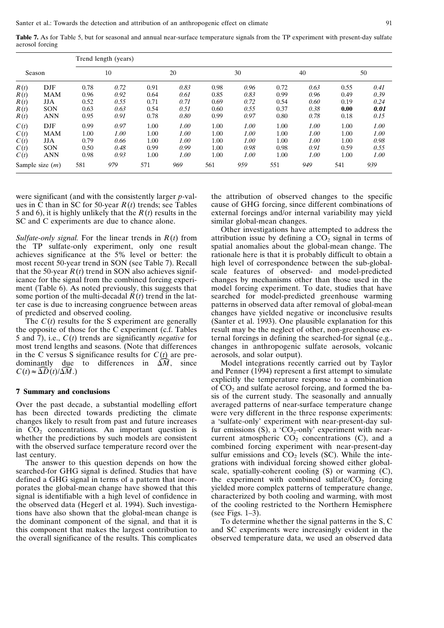Table 7. As for Table 5, but for seasonal and annual near-surface temperature signals from the TP experiment with present-day sulfate aerosol forcing

|                                      |                                                             |                                      | Trend length (years)                 |                                      |                                      |                                      |                                      |                                              |                                      |                                      |                                      |
|--------------------------------------|-------------------------------------------------------------|--------------------------------------|--------------------------------------|--------------------------------------|--------------------------------------|--------------------------------------|--------------------------------------|----------------------------------------------|--------------------------------------|--------------------------------------|--------------------------------------|
| Season                               |                                                             | 10                                   |                                      | 20                                   |                                      |                                      | 30                                   |                                              | 40                                   |                                      | 50                                   |
| R(t)<br>R(t)<br>R(t)<br>R(t)<br>R(t) | DJF<br><b>MAM</b><br><b>JJA</b><br><b>SON</b><br><b>ANN</b> | 0.78<br>0.96<br>0.52<br>0.63<br>0.95 | 0.72<br>0.92<br>0.55<br>0.63<br>0.91 | 0.91<br>0.64<br>0.71<br>0.54<br>0.78 | 0.83<br>0.61<br>0.71<br>0.51<br>0.80 | 0.98<br>0.85<br>0.69<br>0.60<br>0.99 | 0.96<br>0.83<br>0.72<br>0.55<br>0.97 | 0.72<br>0.99<br>0.54<br>0.37<br>0.80         | 0.63<br>0.96<br>0.60<br>0.38<br>0.78 | 0.55<br>0.49<br>0.19<br>0.00<br>0.18 | 0.41<br>0.39<br>0.24<br>0.01<br>0.15 |
| C(t)<br>C(t)<br>C(t)<br>C(t)<br>C(t) | DJF<br><b>MAM</b><br><b>JJA</b><br><b>SON</b><br><b>ANN</b> | 0.99<br>1.00<br>0.79<br>0.50<br>0.98 | 0.97<br>1.00<br>0.66<br>0.48<br>0.93 | 1.00<br>1.00<br>1.00<br>0.99<br>1.00 | 1.00<br>1.00<br>1.00<br>0.99<br>1.00 | 1.00<br>1.00<br>1.00<br>1.00<br>1.00 | 1.00<br>1.00<br>1.00<br>0.98<br>1.00 | 1.00<br>$1.00\,$<br>$1.00\,$<br>0.98<br>1.00 | 1.00<br>1.00<br>1.00<br>0.91<br>1.00 | 1.00<br>1.00<br>1.00<br>0.59<br>1.00 | 1.00<br>1.00<br>0.98<br>0.55<br>1.00 |
|                                      | Sample size $(m)$                                           | 581                                  | 979                                  | 571                                  | 969                                  | 561                                  | 959                                  | 551                                          | 949                                  | 541                                  | 939                                  |

were significant (and with the consistently larger *p*-values in C than in SC for 50-year *R*(*t*) trends; see Tables 5 and 6), it is highly unlikely that the *R*(*t*) results in the SC and C experiments are due to chance alone.

*Sulfate-only signal.* For the linear trends in *R*(*t*) from the TP sulfate-only experiment, only one result achieves significance at the 5% level or better: the most recent 50-year trend in SON (see Table 7). Recall that the 50-year  $R(t)$  trend in SON also achieves significance for the signal from the combined forcing experiment (Table 6). As noted previously, this suggests that some portion of the multi-decadal *R*(*t*) trend in the latter case is due to increasing congruence between areas of predicted and observed cooling.

The  $C(t)$  results for the S experiment are generally the opposite of those for the C experiment (c.f. Tables 5 and 7), i.e., *C*(*t*) trends are significantly *negative* for most trend lengths and seasons. (Note that differences in the C versus S significance results for *C*(*t*) are pre-3 and 7), i.e.,  $C(t)$  trends are significantly *nega*<br>most trend lengths and seasons. (Note that dif<br>in the C versus S significance results for  $C(t)$ <br>dominantly due to differences in  $\Delta M$ dominantly due to differences in  $\Delta M$ , since most trend length<br>in the C versus S<br>dominantly due<br> $C(t) \approx \widehat{\Delta D}(t)/\widehat{\Delta M}$  $C(t) \approx \overline{\Delta D}(t)/\overline{\Delta M}$ .)

#### **7 Summary and conclusions**

Over the past decade, a substantial modelling effort has been directed towards predicting the climate changes likely to result from past and future increases in  $CO<sub>2</sub>$  concentrations. An important question is whether the predictions by such models are consistent with the observed surface temperature record over the last century.

The answer to this question depends on how the searched-for GHG signal is defined. Studies that have defined a GHG signal in terms of a pattern that incorporates the global-mean change have showed that this signal is identifiable with a high level of confidence in the observed data (Hegerl et al. 1994). Such investigations have also shown that the global-mean change is the dominant component of the signal, and that it is this component that makes the largest contribution to the overall significance of the results. This complicates

the attribution of observed changes to the specific cause of GHG forcing, since different combinations of external forcings and/or internal variability may yield similar global-mean changes.

Other investigations have attempted to address the attribution issue by defining a  $CO<sub>2</sub>$  signal in terms of spatial anomalies about the global-mean change. The rationale here is that it is probably difficult to obtain a high level of correspondence between the sub-globalscale features of observed- and model-predicted changes by mechanisms other than those used in the model forcing experiment. To date, studies that have searched for model-predicted greenhouse warming patterns in observed data after removal of global-mean changes have yielded negative or inconclusive results (Santer et al. 1993). One plausible explanation for this result may be the neglect of other, non-greenhouse external forcings in defining the searched-for signal (e.g., changes in anthropogenic sulfate aerosols, volcanic aerosols, and solar output).

Model integrations recently carried out by Taylor and Penner (1994) represent a first attempt to simulate explicitly the temperature response to a combination of  $CO<sub>2</sub>$  and sulfate aerosol forcing, and formed the basis of the current study. The seasonally and annually averaged patterns of near-surface temperature change were very different in the three response experiments: a 'sulfate-only' experiment with near-present-day sulfur emissions  $(S)$ , a 'CO<sub>2</sub>-only' experiment with nearcurrent atmospheric  $CO<sub>2</sub>$  concentrations (C), and a combined forcing experiment with near-present-day sulfur emissions and  $CO<sub>2</sub>$  levels (SC). While the integrations with individual forcing showed either globalscale, spatially-coherent cooling (S) or warming (C), the experiment with combined sulfate/ $CO<sub>2</sub>$  forcing yielded more complex patterns of temperature change, characterized by both cooling and warming, with most of the cooling restricted to the Northern Hemisphere (see Figs.  $1-3$ ).

To determine whether the signal patterns in the S, C and SC experiments were increasingly evident in the observed temperature data, we used an observed data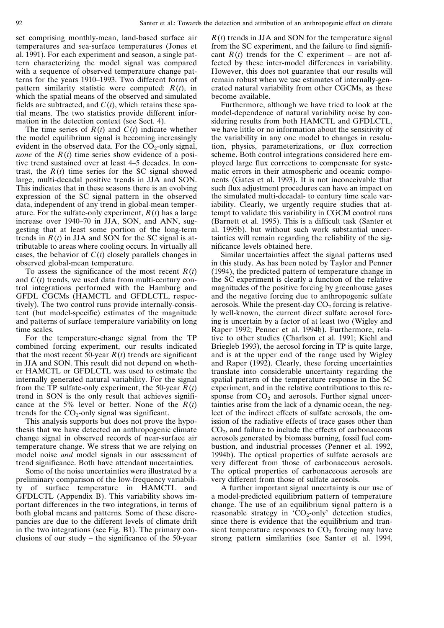set comprising monthly-mean, land-based surface air temperatures and sea-surface temperatures (Jones et al. 1991). For each experiment and season, a single pattern characterizing the model signal was compared with a sequence of observed temperature change patterns for the years 1910–1993. Two different forms of pattern similarity statistic were computed: *R*(*t*), in which the spatial means of the observed and simulated fields are subtracted, and  $C(t)$ , which retains these spatial means. The two statistics provide different information in the detection context (see Sect. 4).

The time series of  $R(t)$  and  $C(t)$  indicate whether the model equilibrium signal is becoming increasingly evident in the observed data. For the  $CO<sub>2</sub>$ -only signal, *none* of the  $R(t)$  time series show evidence of a positive trend sustained over at least 4–5 decades. In contrast, the  $R(t)$  time series for the SC signal showed large, multi-decadal positive trends in JJA and SON. This indicates that in these seasons there is an evolving expression of the SC signal pattern in the observed data, independent of any trend in global-mean temperature. For the sulfate-only experiment,  $R(t)$  has a large increase over 1940–70 in JJA, SON, and ANN, suggesting that at least some portion of the long-term trends in  $R(t)$  in JJA and SON for the SC signal is attributable to areas where cooling occurs. In virtually all cases, the behavior of *C*(*t*) closely parallels changes in observed global-mean temperature.

To assess the significance of the most recent  $R(t)$ and  $C(t)$  trends, we used data from multi-century control integrations performed with the Hamburg and GFDL CGCMs (HAMCTL and GFDLCTL, respectively). The two control runs provide internally-consistent (but model-specific) estimates of the magnitude and patterns of surface temperature variability on long time scales.

For the temperature-change signal from the TP combined forcing experiment, our results indicated that the most recent 50-year  $R(t)$  trends are significant in JJA and SON. This result did not depend on whether HAMCTL or GFDLCTL was used to estimate the internally generated natural variability. For the signal from the TP sulfate-only experiment, the 50-year  $R(t)$ trend in SON is the only result that achieves significance at the 5% level or better. None of the  $R(t)$ trends for the  $CO<sub>2</sub>$ -only signal was significant.

This analysis supports but does not prove the hypothesis that we have detected an anthropogenic climate change signal in observed records of near-surface air temperature change. We stress that we are relying on model noise *and* model signals in our assessment of trend significance. Both have attendant uncertainties.

Some of the noise uncertainties were illustrated by a preliminary comparison of the low-frequency variability of surface temperature in HAMCTL and GFDLCTL (Appendix B). This variability shows important differences in the two integrations, in terms of both global means and patterns. Some of these discrepancies are due to the different levels of climate drift in the two integrations (see Fig. B1). The primary conclusions of our study – the significance of the 50-year

*R*(*t*) trends in JJA and SON for the temperature signal from the SC experiment, and the failure to find significant  $R(t)$  trends for the C experiment – are not affected by these inter-model differences in variability. However, this does not guarantee that our results will remain robust when we use estimates of internally-generated natural variability from other CGCMs, as these become available.

Furthermore, although we have tried to look at the model-dependence of natural variability noise by considering results from both HAMCTL and GFDLCTL, we have little or no information about the sensitivity of the variability in any one model to changes in resolution, physics, parameterizations, or flux correction scheme. Both control integrations considered here employed large flux corrections to compensate for systematic errors in their atmospheric and oceanic components (Gates et al. 1993). It is not inconceivable that such flux adjustment procedures can have an impact on the simulated multi-decadal- to century time scale variability. Clearly, we urgently require studies that attempt to validate this variability in CGCM control runs (Barnett et al. 1995). This is a difficult task (Santer et al. 1995b), but without such work substantial uncertainties will remain regarding the reliability of the significance levels obtained here.

Similar uncertainties affect the signal patterns used in this study. As has been noted by Taylor and Penner (1994), the predicted pattern of temperature change in the SC experiment is clearly a function of the relative magnitudes of the positive forcing by greenhouse gases and the negative forcing due to anthropogenic sulfate aerosols. While the present-day  $CO<sub>2</sub>$  forcing is relatively well-known, the current direct sulfate aerosol forcing is uncertain by a factor of at least two (Wigley and Raper 1992; Penner et al. 1994b). Furthermore, relative to other studies (Charlson et al. 1991; Kiehl and Briegleb 1993), the aerosol forcing in TP is quite large, and is at the upper end of the range used by Wigley and Raper (1992). Clearly, these forcing uncertainties translate into considerable uncertainty regarding the spatial pattern of the temperature response in the SC experiment, and in the relative contributions to this response from  $CO<sub>2</sub>$  and aerosols. Further signal uncertainties arise from the lack of a dynamic ocean, the neglect of the indirect effects of sulfate aerosols, the omission of the radiative effects of trace gases other than  $CO<sub>2</sub>$ , and failure to include the effects of carbonaceous aerosols generated by biomass burning, fossil fuel combustion, and industrial processes (Penner et al. 1992, 1994b). The optical properties of sulfate aerosols are very different from those of carbonaceous aerosols. The optical properties of carbonaceous aerosols are very different from those of sulfate aerosols.

A further important signal uncertainty is our use of a model-predicted equilibrium pattern of temperature change. The use of an equilibrium signal pattern is a reasonable strategy in ' $CO_2$ -only' detection studies, since there is evidence that the equilibrium and transient temperature responses to  $CO<sub>2</sub>$  forcing may have strong pattern similarities (see Santer et al. 1994,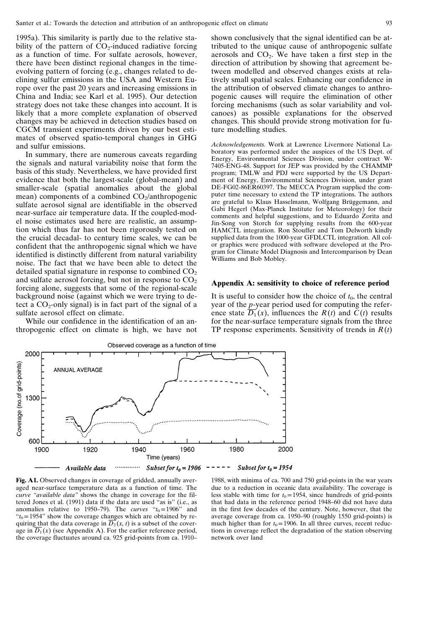1995a). This similarity is partly due to the relative stability of the pattern of  $CO<sub>2</sub>$ -induced radiative forcing as a function of time. For sulfate aerosols, however, there have been distinct regional changes in the timeevolving pattern of forcing (e.g., changes related to declining sulfur emissions in the USA and Western Europe over the past 20 years and increasing emissions in China and India; see Karl et al. 1995). Our detection strategy does not take these changes into account. It is likely that a more complete explanation of observed changes may be achieved in detection studies based on CGCM transient experiments driven by our best estimates of observed spatio-temporal changes in GHG and sulfur emissions.

In summary, there are numerous caveats regarding the signals and natural variability noise that form the basis of this study. Nevertheless, we have provided first evidence that both the largest-scale (global-mean) and smaller-scale (spatial anomalies about the global mean) components of a combined  $CO<sub>2</sub>/anthropogenic$ sulfate aerosol signal are identifiable in the observed near-surface air temperature data. If the coupled-model noise estimates used here are realistic, an assumption which thus far has not been rigorously tested on the crucial decadal- to century time scales, we can be confident that the anthropogenic signal which we have identified is distinctly different from natural variability noise. The fact that we have been able to detect the detailed spatial signature in response to combined  $CO<sub>2</sub>$ and sulfate aerosol forcing, but not in response to  $CO<sub>2</sub>$ forcing alone, suggests that some of the regional-scale background noise (against which we were trying to detect a  $CO_2$ -only signal) is in fact part of the signal of a sulfate aerosol effect on climate.

While our confidence in the identification of an anthropogenic effect on climate is high, we have not shown conclusively that the signal identified can be attributed to the unique cause of anthropogenic sulfate aerosols and  $CO<sub>2</sub>$ . We have taken a first step in the direction of attribution by showing that agreement between modelled and observed changes exists at relatively small spatial scales. Enhancing our confidence in the attribution of observed climate changes to anthropogenic causes will require the elimination of other forcing mechanisms (such as solar variability and volcanoes) as possible explanations for the observed changes. This should provide strong motivation for future modelling studies.

*Acknowledgements.* Work at Lawrence Livermore National Laboratory was performed under the auspices of the US Dept. of Energy, Environmental Sciences Division, under contract W-7405-ENG-48. Support for JEP was provided by the CHAMMP program; TMLW and PDJ were supported by the US Department of Energy, Environmental Sciences Division, under grant DE-FG02-86ER60397. The MECCA Program supplied the computer time necessary to extend the TP integrations. The authors are grateful to Klaus Hasselmann, Wolfgang Brüggemann, and Gabi Hegerl (Max-Planck Institute for Meteorology) for their comments and helpful suggestions, and to Eduardo Zorita and Jin-Song von Storch for supplying results from the 600-year HAMCTL integration. Ron Stouffer and Tom Delworth kindly supplied data from the 1000-year GFDLCTL integration. All color graphics were produced with software developed at the Program for Climate Model Diagnosis and Intercomparison by Dean Williams and Bob Mobley.

#### **Appendix A: sensitivity to choice of reference period**

It is useful to consider how the choice of  $t_0$ , the central year of the *p*-year period used for computing the reference state  $\overline{D_1}(x)$ , influences the *R*(*t*) and *C*(*t*) results for the near-surface temperature signals from the three TP response experiments. Sensitivity of trends in *R*(*t*)



Fig. A1. Observed changes in coverage of gridded, annually averaged near-surface temperature data as a function of time. The *curve "available data"* shows the change in coverage for the filtered Jones et al. (1991) data if the data are used "as is" (i.e., as anomalies relative to 1950–79). The *curves* " $t_0 = 1906$ " and " $t_0$ =1954" show the coverage changes which are obtained by requiring that the data coverage in  $\overline{D_2}(x, t)$  is a subset of the coverage in  $D_1(x)$  (see Appendix A). For the earlier reference period, the coverage fluctuates around ca. 925 grid-points from ca. 1910–

1988, with minima of ca. 700 and 750 grid-points in the war years due to a reduction in oceanic data availability. The coverage is less stable with time for  $t_0$ =1954, since hundreds of grid-points that had data in the reference period 1948–60 did not have data in the first few decades of the century. Note, however, that the average coverage from ca. 1950–90 (roughly 1550 grid-points) is much higher than for  $t_0$ =1906. In all three curves, recent reductions in coverage reflect the degradation of the station observing network over land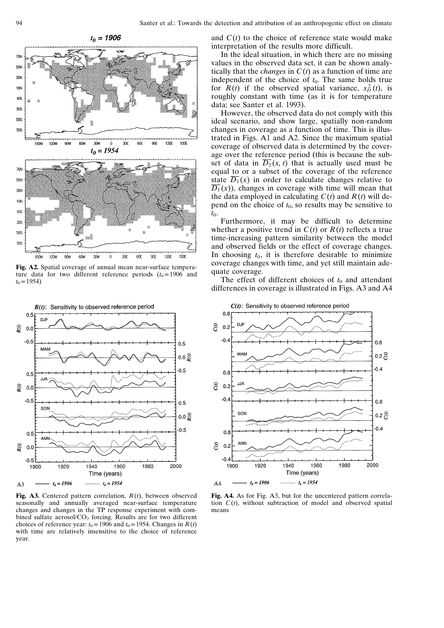

**Fig. A2.** Spatial coverage of annual mean near-surface temperature data for two different reference periods  $(t_0=1906$  and  $t_0$ =1954)



**Fig. A3.** Centered pattern correlation, *R*(*t*), between observed seasonally and annually averaged near-surface temperature changes and changes in the TP response experiment with combined sulfate aerosol/ $CO<sub>2</sub>$  forcing. Results are for two different choices of reference year:  $t_0$ =1906 and  $t_0$ =1954. Changes in  $R(t)$ with time are relatively insensitive to the choice of reference year.

and  $C(t)$  to the choice of reference state would make interpretation of the results more difficult.

In the ideal situation, in which there are no missing values in the observed data set, it can be shown analytically that the *changes* in  $C(t)$  as a function of time are independent of the choice of  $t_0$ . The same holds true for  $\hat{R}(t)$  if the observed spatial variance,  $s_D^2(t)$ , is roughly constant with time (as it is for temperature data; see Santer et al. 1993).

However, the observed data do not comply with this ideal scenario, and show large, spatially non-random changes in coverage as a function of time. This is illustrated in Figs. A1 and A2. Since the maximum spatial coverage of observed data is determined by the coverage over the reference period (this is because the subset of data in  $\overline{D_2}(x, t)$  that is actually used must be equal to or a subset of the coverage of the reference state  $\overline{D_1}(x)$  in order to calculate changes relative to  $\overline{D_1}(x)$ , changes in coverage with time will mean that the data employed in calculating  $C(t)$  and  $R(t)$  will depend on the choice of  $t_0$ , so results may be sensitive to *t*0.

Furthermore, it may be difficult to determine whether a positive trend in  $C(t)$  or  $R(t)$  reflects a true time-increasing pattern similarity between the model and observed fields or the effect of coverage changes. In choosing  $t_0$ , it is therefore desirable to minimize coverage changes with time, and yet still maintain adequate coverage.

The effect of different choices of  $t_0$  and attendant differences in coverage is illustrated in Figs. A3 and A4



**Fig. A4.** As for Fig. A3, but for the uncentered pattern correlation  $C(t)$ , without subtraction of model and observed spatial means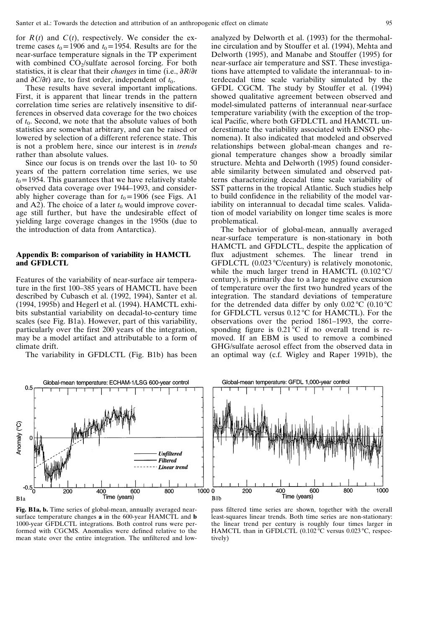for  $R(t)$  and  $C(t)$ , respectively. We consider the extreme cases  $t_0$ =1906 and  $t_0$ =1954. Results are for the near-surface temperature signals in the TP experiment with combined  $CO<sub>2</sub>/sulfate$  aerosol forcing. For both statistics, it is clear that their *changes* in time (i.e.,  $\partial R/\partial t$ and  $\partial C/\partial t$  are, to first order, independent of  $t_0$ .

These results have several important implications. First, it is apparent that linear trends in the pattern correlation time series are relatively insensitive to differences in observed data coverage for the two choices of *t*0. Second, we note that the absolute values of both statistics are somewhat arbitrary, and can be raised or lowered by selection of a different reference state. This is not a problem here, since our interest is in *trends* rather than absolute values.

Since our focus is on trends over the last 10- to 50 years of the pattern correlation time series, we use  $t_0$ =1954. This guarantees that we have relatively stable observed data coverage over 1944–1993, and considerably higher coverage than for  $t_0$ =1906 (see Figs. A1 and A2). The choice of a later  $t_0$  would improve coverage still further, but have the undesirable effect of yielding large coverage changes in the 1950s (due to the introduction of data from Antarctica).

### **Appendix B: comparison of variability in HAMCTL and GFDLCTL**

Features of the variability of near-surface air temperature in the first 100–385 years of HAMCTL have been described by Cubasch et al. (1992, 1994), Santer et al. (1994, 1995b) and Hegerl et al. (1994). HAMCTL exhibits substantial variability on decadal-to-century time scales (see Fig. B1a). However, part of this variability, particularly over the first 200 years of the integration, may be a model artifact and attributable to a form of climate drift.

The variability in GFDLCTL (Fig. B1b) has been

analyzed by Delworth et al. (1993) for the thermohaline circulation and by Stouffer et al. (1994), Mehta and Delworth (1995), and Manabe and Stouffer (1995) for near-surface air temperature and SST. These investigations have attempted to validate the interannual- to interdecadal time scale variability simulated by the GFDL CGCM. The study by Stouffer et al. (1994) showed qualitative agreement between observed and model-simulated patterns of interannual near-surface temperature variability (with the exception of the tropical Pacific, where both GFDLCTL and HAMCTL underestimate the variability associated with ENSO phenomena). It also indicated that modeled and observed relationships between global-mean changes and regional temperature changes show a broadly similar structure. Mehta and Delworth (1995) found considerable similarity between simulated and observed patterns characterizing decadal time scale variability of SST patterns in the tropical Atlantic. Such studies help to build confidence in the reliability of the model variability on interannual to decadal time scales. Validation of model variability on longer time scales is more problematical.

The behavior of global-mean, annually averaged near-surface temperature is non-stationary in both HAMCTL and GFDLCTL, despite the application of flux adjustment schemes. The linear trend in GFDLCTL  $(0.023 \text{ °C/century})$  is relatively monotonic, while the much larger trend in HAMCTL  $(0.102 \degree C)$ century), is primarily due to a large negative excursion of temperature over the first two hundred years of the integration. The standard deviations of temperature for the detrended data differ by only  $0.02 \degree$ C (0.10  $\degree$ C for GFDLCTL versus  $0.12 \text{°C}$  for HAMCTL). For the observations over the period 1861–1993, the corresponding figure is  $0.21^{\circ}$ C if no overall trend is removed. If an EBM is used to remove a combined GHG/sulfate aerosol effect from the observed data in an optimal way (c.f. Wigley and Raper 1991b), the



Fig. B1a, b. Time series of global-mean, annually averaged nearsurface temperature changes **a** in the 600-year HAMCTL and **b** 1000-year GFDLCTL integrations. Both control runs were performed with CGCMS. Anomalies were defined relative to the mean state over the entire integration. The unfiltered and low-

pass filtered time series are shown, together with the overall least-squares linear trends. Both time series are non-stationary: the linear trend per century is roughly four times larger in HAMCTL than in GFDLCTL  $(0.102 \degree C$  versus 0.023 °C, respectively)

800

1000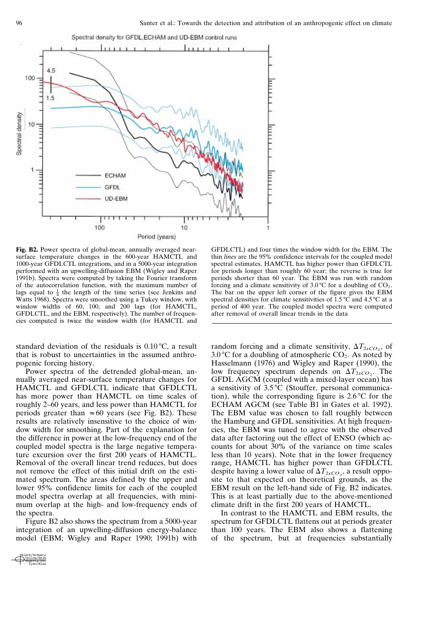

**Fig. B2.** Power spectra of global-mean, annually averaged nearsurface temperature changes in the 600-year HAMCTL and 1000-year GFDLCTL integrations, and in a 5000-year integration performed with an upwelling-diffusion EBM (Wigley and Raper 1991b). Spectra were computed by taking the Fourier transform of the autocorrelation function, with the maximum number of lags equal to  $\frac{1}{4}$  the length of the time series (see Jenkins and Watts 1968). Spectra were smoothed using a Tukey window, with window widths of 60, 100, and 200 lags (for HAMCTL, GFDLCTL, and the EBM, respectively). The number of frequencies computed is twice the window width (for HAMCTL and

standard deviation of the residuals is  $0.10\degree C$ , a result that is robust to uncertainties in the assumed anthropogenic forcing history.

Power spectra of the detrended global-mean, annually averaged near-surface temperature changes for HAMCTL and GFDLCTL indicate that GFDLCTL has more power than HAMCTL on time scales of roughly 2–60 years, and less power than HAMCTL for periods greater than  $\approx 60$  years (see Fig. B2). These results are relatively insensitive to the choice of window width for smoothing. Part of the explanation for the difference in power at the low-frequency end of the coupled model spectra is the large negative temperature excursion over the first 200 years of HAMCTL. Removal of the overall linear trend reduces, but does not remove the effect of this initial drift on the estimated spectrum. The areas defined by the upper and lower 95% confidence limits for each of the coupled model spectra overlap at all frequencies, with minimum overlap at the high- and low-frequency ends of the spectra.

Figure B2 also shows the spectrum from a 5000-year integration of an upwelling-diffusion energy-balance model (EBM; Wigley and Raper 1990; 1991b) with

GFDLCTL) and four times the window width for the EBM. The thin *lines* are the 95% confidence intervals for the coupled model spectral estimates. HAMCTL has higher power than GFDLCTL for periods longer than roughly 60 year; the reverse is true for periods shorter than 60 year. The EBM was run with random forcing and a climate sensitivity of  $3.0\,^{\circ}\text{C}$  for a doubling of CO<sub>2</sub>. The bar on the upper left corner of the figure gives the EBM spectral densities for climate sensitivities of  $1.5\degree$ C and  $4.5\degree$ C at a period of 400 year. The coupled model spectra were computed after removal of overall linear trends in the data

random forcing and a climate sensitivity,  $\Delta T_{2xCO_2}$ , of 3.0 °C for a doubling of atmospheric  $CO<sub>2</sub>$ . As noted by Hasselmann (1976) and Wigley and Raper (1990), the low frequency spectrum depends on  $\Delta T_{2xCO_2}$ . The GFDL AGCM (coupled with a mixed-layer ocean) has a sensitivity of  $3.5\,\mathrm{°C}$  (Stouffer, personal communication), while the corresponding figure is  $2.6^{\circ}$ C for the ECHAM AGCM (see Table B1 in Gates et al. 1992). The EBM value was chosen to fall roughly between the Hamburg and GFDL sensitivities. At high frequencies, the EBM was tuned to agree with the observed data after factoring out the effect of ENSO (which accounts for about 30% of the variance on time scales less than 10 years). Note that in the lower frequency range, HAMCTL has higher power than GFDLCTL despite having a lower value of  $\Delta T_{2xCO_2}$ , a result opposite to that expected on theoretical grounds, as the EBM result on the left-hand side of Fig. B2 indicates. This is at least partially due to the above-mentioned climate drift in the first 200 years of HAMCTL.

In contrast to the HAMCTL and EBM results, the spectrum for GFDLCTL flattens out at periods greater than 100 years. The EBM also shows a flattening of the spectrum, but at frequencies substantially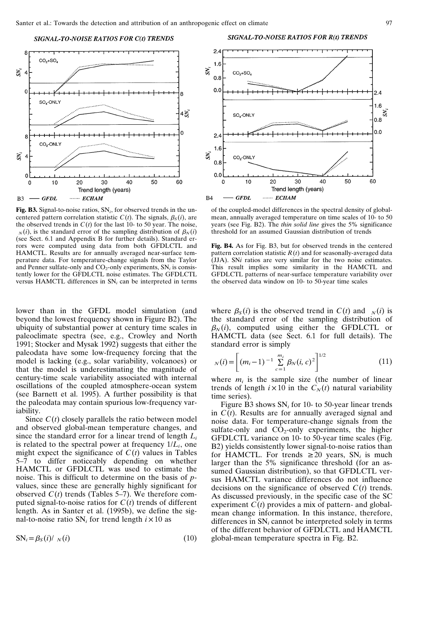**SIGNAL-TO-NOISE RATIOS FOR C(t) TRENDS** 



**Fig. B3.** Signal-to-noise ratios, SN*i*, for observed trends in the uncentered pattern correlation statistic  $C(t)$ . The signals,  $\beta_S(i)$ , are the observed trends in  $C(t)$  for the last 10- to 50 year. The noise,  $N_f(i)$ , is the standard error of the sampling distribution of  $\beta_N(i)$ (see Sect. 6.1 and Appendix B for further details). Standard errors were computed using data from both GFDLCTL and HAMCTL. Results are for annually averaged near-surface temperature data. For temperature-change signals from the Taylor and Penner sulfate-only and  $CO_2$ -only experiments,  $SN_i$  is consistently lower for the GFDLCTL noise estimates. The GFDLCTL versus HAMCTL differences in SN*i* can be interpreted in terms

lower than in the GFDL model simulation (and beyond the lowest frequency shown in Figure B2). The ubiquity of substantial power at century time scales in paleoclimate spectra (see, e.g., Crowley and North 1991; Stocker and Mysak 1992) suggests that either the paleodata have some low-frequency forcing that the model is lacking (e.g., solar variability, volcanoes) or that the model is underestimating the magnitude of century-time scale variability associated with internal oscillations of the coupled atmosphere-ocean system (see Barnett et al. 1995). A further possibility is that the paleodata may contain spurious low-frequency variability.

Since  $C(t)$  closely parallels the ratio between model and observed global-mean temperature changes, and since the standard error for a linear trend of length *Li* is related to the spectral power at frequency  $1/L_i$ , one might expect the significance of  $C(t)$  values in Tables 5–7 to differ noticeably depending on whether HAMCTL or GFDLCTL was used to estimate the noise. This is difficult to determine on the basis of *p*values, since these are generally highly significant for observed  $C(t)$  trends (Tables 5–7). We therefore computed signal-to-noise ratios for  $C(t)$  trends of different length. As in Santer et al. (1995b), we define the signal-to-noise ratio SN<sub>i</sub> for trend length  $i \times 10$  as

$$
SN_i = \beta_S(i) / N(i) \tag{10}
$$

SIGNAL-TO-NOISE RATIOS FOR R(t) TRENDS



of the coupled-model differences in the spectral density of globalmean, annually averaged temperature on time scales of 10- to 50 years (see Fig. B2). The *thin solid line* gives the 5% significance threshold for an assumed Gaussian distribution of trends

**Fig. B4.** As for Fig. B3, but for observed trends in the centered pattern correlation statistic  $R(t)$  and for seasonally-averaged data (JJA). SN*i* ratios are very similar for the two noise estimates. This result implies some similarity in the HAMCTL and GFDLCTL patterns of near-surface temperature variability over the observed data window on 10- to 50-year time scales

where  $\beta_S(i)$  is the observed trend in  $C(t)$  and  $N(i)$  is the standard error of the sampling distribution of  $\beta_N(i)$ , computed using either the GFDLCTL or HAMCTL data (see Sect. 6.1 for full details). The standard error is simply

$$
N(i) = \left[ (m_i - 1)^{-1} \sum_{c=1}^{m_i} \beta_N(i, c)^2 \right]^{1/2}
$$
 (11)

where  $m_i$  is the sample size (the number of linear trends of length  $i \times 10$  in the  $C_N(t)$  natural variability time series).

Figure B<sub>3</sub> shows  $SN_i$  for 10- to 50-year linear trends in  $C(t)$ . Results are for annually averaged signal and noise data. For temperature-change signals from the sulfate-only and  $CO_2$ -only experiments, the higher GFDLCTL variance on 10- to 50-year time scales (Fig. B2) yields consistently lower signal-to-noise ratios than for HAMCTL. For trends  $\geq 20$  years, SN<sub>i</sub> is much larger than the 5% significance threshold (for an assumed Gaussian distribution), so that GFDLCTL versus HAMCTL variance differences do not influence decisions on the significance of observed *C*(*t*) trends. As discussed previously, in the specific case of the SC experiment  $C(t)$  provides a mix of pattern- and globalmean change information. In this instance, therefore, differences in SN*i* cannot be interpreted solely in terms of the different behavior of GFDLCTL and HAMCTL global-mean temperature spectra in Fig. B2.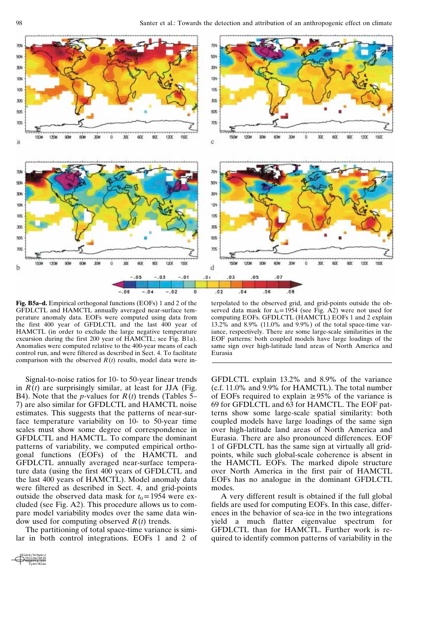

**Fig. B5a–d.** Empirical orthogonal functions (EOFs) 1 and 2 of the GFDLCTL and HAMCTL annually averaged near-surface temperature anomaly data. EOFs were computed using data from the first 400 year of GFDLCTL and the last 400 year of HAMCTL (in order to exclude the large negative temperature excursion during the first 200 year of HAMCTL; see Fig. B1a). Anomalies were computed relative to the 400-year means of each control run, and were filtered as described in Sect. 4. To facilitate comparison with the observed  $R(t)$  results, model data were in-

Signal-to-noise ratios for 10- to 50-year linear trends in  $R(t)$  are surprisingly similar, at least for JJA (Fig. B4). Note that the *p*-values for *R*(*t*) trends (Tables 5– 7) are also similar for GFDLCTL and HAMCTL noise estimates. This suggests that the patterns of near-surface temperature variability on 10- to 50-year time scales must show some degree of correspondence in GFDLCTL and HAMCTL. To compare the dominant patterns of variability, we computed empirical orthogonal functions (EOFs) of the HAMCTL and GFDLCTL annually averaged near-surface temperature data (using the first 400 years of GFDLCTL and the last 400 years of HAMCTL). Model anomaly data were filtered as described in Sect. 4, and grid-points outside the observed data mask for  $t_0$ =1954 were excluded (see Fig. A2). This procedure allows us to compare model variability modes over the same data window used for computing observed *R*(*t*) trends.

The partitioning of total space-time variance is similar in both control integrations. EOFs 1 and 2 of

terpolated to the observed grid, and grid-points outside the observed data mask for  $t_0=1954$  (see Fig. A2) were not used for computing EOFs. GFDLCTL (HAMCTL) EOFs 1 and 2 explain 13.2% and 8.9% (11.0% and 9.9%) of the total space-time variance, respectively. There are some large-scale similarities in the EOF patterns: both coupled models have large loadings of the same sign over high-latitude land areas of North America and Eurasia

GFDLCTL explain 13.2% and 8.9% of the variance (c.f. 11.0% and 9.9% for HAMCTL). The total number of EOFs required to explain  $\geq 95\%$  of the variance is 69 for GFDLCTL and 63 for HAMCTL. The EOF patterns show some large-scale spatial similarity: both coupled models have large loadings of the same sign over high-latitude land areas of North America and Eurasia. There are also pronounced differences. EOF 1 of GFDLCTL has the same sign at virtually all gridpoints, while such global-scale coherence is absent in the HAMCTL EOFs. The marked dipole structure over North America in the first pair of HAMCTL EOFs has no analogue in the dominant GFDLCTL modes.

A very different result is obtained if the full global fields are used for computing EOFs. In this case, differences in the behavior of sea-ice in the two integrations yield a much flatter eigenvalue spectrum for GFDLCTL than for HAMCTL. Further work is required to identify common patterns of variability in the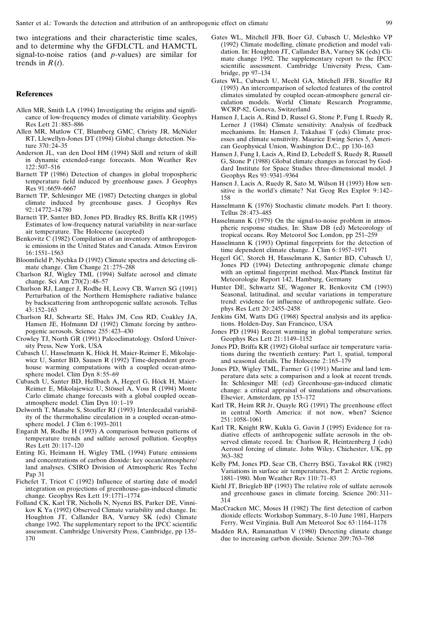two integrations and their characteristic time scales, and to determine why the GFDLCTL and HAMCTL signal-to-noise ratios (and *p*-values) are similar for trends in *R*(*t*).

### **References**

- Allen MR, Smith LA (1994) Investigating the origins and significance of low-frequency modes of climate variability. Geophys Res Lett 21 : 883–886
- Allen MR, Mutlow CT, Blumberg GMC, Christy JR, McNider RT, Llewellyn-Jones DT (1994) Global change detection. Nature 370:24-35
- Anderson JL, van den Dool HM (1994) Skill and return of skill in dynamic extended-range forecasts. Mon Weather Rev 122: 507–516
- Barnett TP (1986) Detection of changes in global tropospheric temperature field induced by greenhouse gases. J Geophys Res 91: 6659–6667
- Barnett TP, Schlesinger ME (1987) Detecting changes in global climate induced by greenhouse gases. J Geophys Res 92: 14772–14 780
- Barnett TP, Santer BD, Jones PD, Bradley RS, Briffa KR (1995) Estimates of low-frequency natural variability in near-surface air temperature. The Holocene (accepted)
- Benkovitz C (1982) Compilation of an inventory of anthropogenic emissions in the United States and Canada. Atmos Environ 16: 1551–1563
- Bloomfield P, Nychka D (1992) Climate spectra and detecting climate change. Clim Change 21:275-288
- Charlson RJ, Wigley TML (1994) Sulfate aerosol and climate change. Sci Am 270(2) :48–57
- Charlson RJ, Langer J, Rodhe H, Leovy CB, Warren SG (1991) Perturbation of the Northern Hemisphere radiative balance by backscattering from anthropogenic sulfate aerosols. Tellus 43: 152–163
- Charlson RJ, Schwartz SE, Hales JM, Cess RD, Coakley JA, Hansen JE, Hofmann DJ (1992) Climate forcing by anthropogenic aerosols. Science 255: 423–430
- Crowley TJ, North GR (1991) Paleoclimatology. Oxford University Press, New York, USA
- Cubasch U, Hasselmann K, Höck H, Maier-Reimer E, Mikolajewicz U, Santer BD, Sausen R (1992) Time-dependent greenhouse warming computations with a coupled ocean-atmosphere model. Clim Dyn 8:55-69
- Cubasch U, Santer BD, Hellbach A, Hegerl G, Höck H, Maier-Reimer E, Mikolajewicz U, Stössel A, Voss R (1994) Monte Carlo climate change forecasts with a global coupled oceanatmosphere model. Clim Dyn 10:1-19
- Delworth T, Manabe S, Stouffer RJ (1993) Interdecadal variability of the thermohaline circulation in a coupled ocean-atmosphere model. J Clim 6: 1993–2011
- Engardt M, Rodhe H (1993) A comparison between patterns of temperature trends and sulfate aerosol pollution. Geophys Res Lett 20 : 117–120
- Enting IG, Heimann H, Wigley TML (1994) Future emissions and concentrations of carbon dioxide: key ocean/atmosphere/ land analyses. CSIRO Division of Atmospheric Res Techn Pap 31
- Fichefet T, Tricot C (1992) Influence of starting date of model integration on projections of greenhouse-gas-induced climatic change. Geophys Res Lett 19 :1771–1774
- Folland CK, Karl TR, Nicholls N, Nyenzi BS, Parker DE, Vinnikov K Ya (1992) Observed Climate variability and change. In: Houghton JT, Callander BA, Varney SK (eds) Climate change 1992. The supplementary report to the IPCC scientific assessment. Cambridge University Press, Cambridge, pp 135– 170
- Gates WL, Mitchell JFB, Boer GJ, Cubasch U, Meleshko VP (1992) Climate modelling, climate prediction and model validation. In: Houghton JT, Callander BA, Varney SK (eds) Climate change 1992. The supplementary report to the IPCC scientific assessment. Cambridge University Press, Cambridge, pp 97–134
- Gates WL, Cubasch U, Meehl GA, Mitchell JFB, Stouffer RJ (1993) An intercomparison of selected features of the control climates simulated by coupled ocean-atmosphere general circulation models. World Climate Research Programme, WCRP-82, Geneva, Switzerland
- Hansen J, Lacis A, Rind D, Russel G, Stone P, Fung I, Ruedy R, Lerner J (1984) Climate sensitivity: Analysis of feedback mechanisms. In: Hansen J, Takahasi T (eds) Climate processes and climate sensitivity. Maurice Ewing Series 5, American Geophysical Union, Washington D.C., pp 130–163
- Hansen J, Fung I, Lacis A, Rind D, Lebedeff S, Ruedy R, Russell G, Stone P (1988) Global climate changes as forecast by Goddard Institute for Space Studies three-dimensional model. J Geophys Res 93 :9341–9364
- Hansen J, Lacis A, Ruedy R, Sato M, Wilson H (1993) How sensitive is the world's climate? Nat Geog Res Explor 9:142-158
- Hasselmann K (1976) Stochastic climate models. Part I: theory. Tellus 28 : 473–485
- Hasselmann K (1979) On the signal-to-noise problem in atmospheric response studies. In: Shaw DB (ed) Meteorology of tropical oceans. Roy Meteorol Soc London, pp 251–259
- Hasselmann K (1993) Optimal fingerprints for the detection of time dependent climate change. J Clim 6:1957–1971
- Hegerl GC, Storch H, Hasselmann K, Santer BD, Cubasch U, Jones PD (1994) Detecting anthropogenic climate change with an optimal fingerprint method. Max-Planck Institut für Meteorologie Report 142, Hamburg, Germany
- Hunter DE, Schwartz SE, Wagoner R, Benkovitz CM (1993) Seasonal, latitudinal, and secular variations in temperature trend: evidence for influence of anthropogenic sulfate. Geophys Res Lett 20: 2455–2458
- Jenkins GM, Watts DG (1968) Spectral analysis and its applications. Holden-Day, San Francisco, USA
- Jones PD (1994) Recent warming in global temperature series. Geophys Res Lett 21: 1149–1152
- Jones PD, Briffa KR (1992) Global surface air temperature variations during the twentieth century: Part 1, spatial, temporal and seasonal details. The Holocene 2: 165–179
- Jones PD, Wigley TML, Farmer G (1991) Marine and land temperature data sets: a comparison and a look at recent trends. In: Schlesinger ME (ed) Greenhouse-gas-induced climatic change: a critical appraisal of simulations and observations. Elsevier, Amsterdam, pp 153–172
- Karl TR, Heim RR Jr, Quayle RG (1991) The greenhouse effect in central North America: if not now, when? Science 251: 1058–1061
- Karl TR, Knight RW, Kukla G, Gavin J (1995) Evidence for radiative effects of anthropogenic sulfate aerosols in the observed climate record. In: Charlson R, Heintzenberg J (eds) Aerosol forcing of climate. John Wiley, Chichester, UK, pp 363–382
- Kelly PM, Jones PD, Sear CB, Cherry BSG, Tavakol RK (1982) Variations in surface air temperatures, Part 2: Arctic regions, 1881–1980. Mon Weather Rev 110: 71–83
- Kiehl JT, Briegleb BP (1993) The relative role of sulfate aerosols and greenhouse gases in climate forcing. Science 260:311-314
- MacCracken MC, Moses H (1982) The first detection of carbon dioxide effects: Workshop Summary, 8–10 June 1981, Harpers Ferry, West Virginia. Bull Am Meteorol Soc 63 :1164–1178
- Madden RA, Ramanathan V (1980) Detecting climate change due to increasing carbon dioxide. Science 209 :763–768